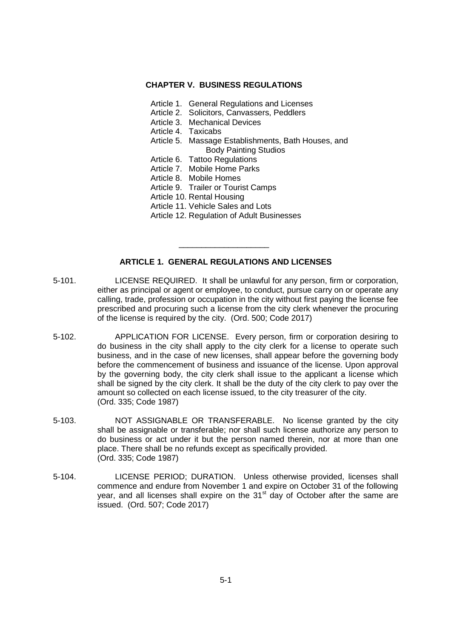#### **CHAPTER V. BUSINESS REGULATIONS**

- Article 1. General Regulations and Licenses
- Article 2. Solicitors, Canvassers, Peddlers
- Article 3. Mechanical Devices
- Article 4. Taxicabs
- Article 5. Massage Establishments, Bath Houses, and Body Painting Studios
- Article 6. Tattoo Regulations
- Article 7. Mobile Home Parks
- Article 8. Mobile Homes
- Article 9. Trailer or Tourist Camps
- Article 10. Rental Housing
- Article 11. Vehicle Sales and Lots
- Article 12. Regulation of Adult Businesses

# **ARTICLE 1. GENERAL REGULATIONS AND LICENSES**

\_\_\_\_\_\_\_\_\_\_\_\_\_\_\_\_\_\_\_\_

- 5-101. LICENSE REQUIRED. It shall be unlawful for any person, firm or corporation, either as principal or agent or employee, to conduct, pursue carry on or operate any calling, trade, profession or occupation in the city without first paying the license fee prescribed and procuring such a license from the city clerk whenever the procuring of the license is required by the city. (Ord. 500; Code 2017)
- 5-102. APPLICATION FOR LICENSE. Every person, firm or corporation desiring to do business in the city shall apply to the city clerk for a license to operate such business, and in the case of new licenses, shall appear before the governing body before the commencement of business and issuance of the license. Upon approval by the governing body, the city clerk shall issue to the applicant a license which shall be signed by the city clerk. It shall be the duty of the city clerk to pay over the amount so collected on each license issued, to the city treasurer of the city. (Ord. 335; Code 1987)
- 5-103. NOT ASSIGNABLE OR TRANSFERABLE. No license granted by the city shall be assignable or transferable; nor shall such license authorize any person to do business or act under it but the person named therein, nor at more than one place. There shall be no refunds except as specifically provided. (Ord. 335; Code 1987)
- 5-104. LICENSE PERIOD; DURATION. Unless otherwise provided, licenses shall commence and endure from November 1 and expire on October 31 of the following year, and all licenses shall expire on the  $31<sup>st</sup>$  day of October after the same are issued. (Ord. 507; Code 2017)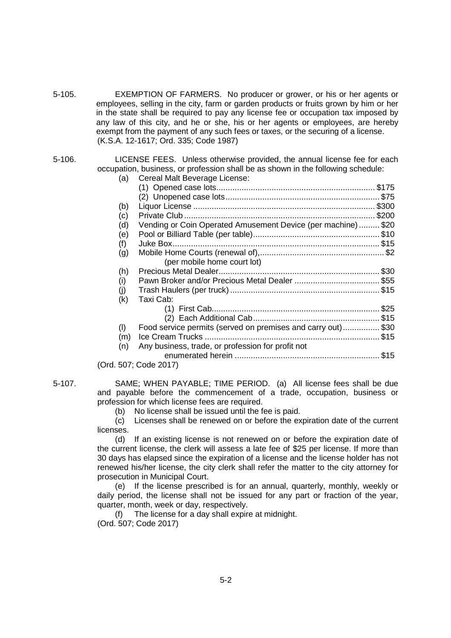5-105. EXEMPTION OF FARMERS. No producer or grower, or his or her agents or employees, selling in the city, farm or garden products or fruits grown by him or her in the state shall be required to pay any license fee or occupation tax imposed by any law of this city, and he or she, his or her agents or employees, are hereby exempt from the payment of any such fees or taxes, or the securing of a license. (K.S.A. 12-1617; Ord. 335; Code 1987)

#### 5-106. LICENSE FEES. Unless otherwise provided, the annual license fee for each occupation, business, or profession shall be as shown in the following schedule:

| (a) | Cereal Malt Beverage License:                                |  |
|-----|--------------------------------------------------------------|--|
|     |                                                              |  |
|     |                                                              |  |
| (b) |                                                              |  |
| (c) |                                                              |  |
| (d) | Vending or Coin Operated Amusement Device (per machine) \$20 |  |
| (e) |                                                              |  |
| (f) |                                                              |  |
| (g) |                                                              |  |
|     | (per mobile home court lot)                                  |  |
| (h) |                                                              |  |
| (i) |                                                              |  |
| (j) |                                                              |  |
| (k) | Taxi Cab:                                                    |  |
|     |                                                              |  |
|     |                                                              |  |
| (1) | Food service permits (served on premises and carry out)\$30  |  |
| (m) |                                                              |  |
| (n) | Any business, trade, or profession for profit not            |  |
|     |                                                              |  |
|     | (Ord. 507; Code 2017)                                        |  |

5-107. SAME; WHEN PAYABLE; TIME PERIOD. (a) All license fees shall be due and payable before the commencement of a trade, occupation, business or profession for which license fees are required.

(b) No license shall be issued until the fee is paid.

(c) Licenses shall be renewed on or before the expiration date of the current licenses.

(d) If an existing license is not renewed on or before the expiration date of the current license, the clerk will assess a late fee of \$25 per license. If more than 30 days has elapsed since the expiration of a license and the license holder has not renewed his/her license, the city clerk shall refer the matter to the city attorney for prosecution in Municipal Court.

(e) If the license prescribed is for an annual, quarterly, monthly, weekly or daily period, the license shall not be issued for any part or fraction of the year, quarter, month, week or day, respectively.

(f) The license for a day shall expire at midnight. (Ord. 507; Code 2017)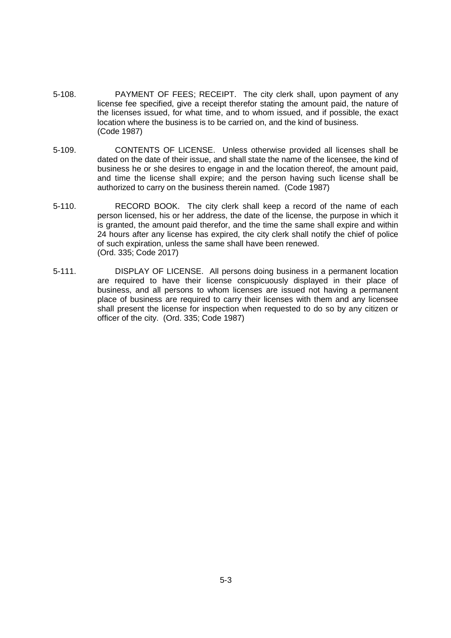- 5-108. PAYMENT OF FEES; RECEIPT. The city clerk shall, upon payment of any license fee specified, give a receipt therefor stating the amount paid, the nature of the licenses issued, for what time, and to whom issued, and if possible, the exact location where the business is to be carried on, and the kind of business. (Code 1987)
- 5-109. CONTENTS OF LICENSE. Unless otherwise provided all licenses shall be dated on the date of their issue, and shall state the name of the licensee, the kind of business he or she desires to engage in and the location thereof, the amount paid, and time the license shall expire; and the person having such license shall be authorized to carry on the business therein named. (Code 1987)
- 5-110. RECORD BOOK. The city clerk shall keep a record of the name of each person licensed, his or her address, the date of the license, the purpose in which it is granted, the amount paid therefor, and the time the same shall expire and within 24 hours after any license has expired, the city clerk shall notify the chief of police of such expiration, unless the same shall have been renewed. (Ord. 335; Code 2017)
- 5-111. DISPLAY OF LICENSE. All persons doing business in a permanent location are required to have their license conspicuously displayed in their place of business, and all persons to whom licenses are issued not having a permanent place of business are required to carry their licenses with them and any licensee shall present the license for inspection when requested to do so by any citizen or officer of the city. (Ord. 335; Code 1987)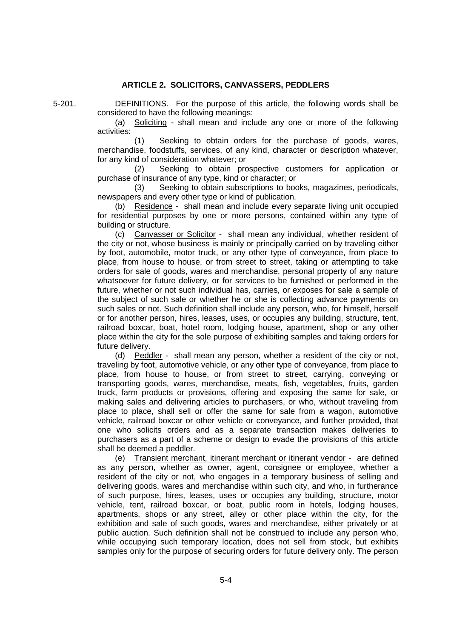## **ARTICLE 2. SOLICITORS, CANVASSERS, PEDDLERS**

5-201. DEFINITIONS. For the purpose of this article, the following words shall be considered to have the following meanings:

(a) Soliciting - shall mean and include any one or more of the following activities:

(1) Seeking to obtain orders for the purchase of goods, wares, merchandise, foodstuffs, services, of any kind, character or description whatever, for any kind of consideration whatever; or

(2) Seeking to obtain prospective customers for application or purchase of insurance of any type, kind or character; or

(3) Seeking to obtain subscriptions to books, magazines, periodicals, newspapers and every other type or kind of publication.

(b) Residence - shall mean and include every separate living unit occupied for residential purposes by one or more persons, contained within any type of building or structure.

(c) Canvasser or Solicitor - shall mean any individual, whether resident of the city or not, whose business is mainly or principally carried on by traveling either by foot, automobile, motor truck, or any other type of conveyance, from place to place, from house to house, or from street to street, taking or attempting to take orders for sale of goods, wares and merchandise, personal property of any nature whatsoever for future delivery, or for services to be furnished or performed in the future, whether or not such individual has, carries, or exposes for sale a sample of the subject of such sale or whether he or she is collecting advance payments on such sales or not. Such definition shall include any person, who, for himself, herself or for another person, hires, leases, uses, or occupies any building, structure, tent, railroad boxcar, boat, hotel room, lodging house, apartment, shop or any other place within the city for the sole purpose of exhibiting samples and taking orders for future delivery.

(d) Peddler - shall mean any person, whether a resident of the city or not, traveling by foot, automotive vehicle, or any other type of conveyance, from place to place, from house to house, or from street to street, carrying, conveying or transporting goods, wares, merchandise, meats, fish, vegetables, fruits, garden truck, farm products or provisions, offering and exposing the same for sale, or making sales and delivering articles to purchasers, or who, without traveling from place to place, shall sell or offer the same for sale from a wagon, automotive vehicle, railroad boxcar or other vehicle or conveyance, and further provided, that one who solicits orders and as a separate transaction makes deliveries to purchasers as a part of a scheme or design to evade the provisions of this article shall be deemed a peddler.

(e) Transient merchant, itinerant merchant or itinerant vendor - are defined as any person, whether as owner, agent, consignee or employee, whether a resident of the city or not, who engages in a temporary business of selling and delivering goods, wares and merchandise within such city, and who, in furtherance of such purpose, hires, leases, uses or occupies any building, structure, motor vehicle, tent, railroad boxcar, or boat, public room in hotels, lodging houses, apartments, shops or any street, alley or other place within the city, for the exhibition and sale of such goods, wares and merchandise, either privately or at public auction. Such definition shall not be construed to include any person who, while occupying such temporary location, does not sell from stock, but exhibits samples only for the purpose of securing orders for future delivery only. The person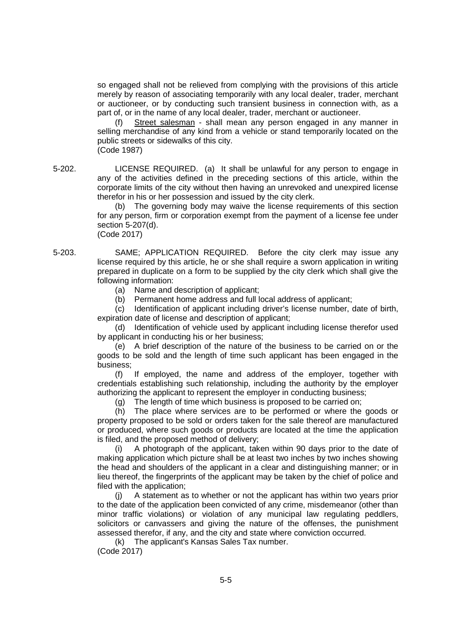so engaged shall not be relieved from complying with the provisions of this article merely by reason of associating temporarily with any local dealer, trader, merchant or auctioneer, or by conducting such transient business in connection with, as a part of, or in the name of any local dealer, trader, merchant or auctioneer.

(f) Street salesman - shall mean any person engaged in any manner in selling merchandise of any kind from a vehicle or stand temporarily located on the public streets or sidewalks of this city. (Code 1987)

5-202. LICENSE REQUIRED. (a) It shall be unlawful for any person to engage in any of the activities defined in the preceding sections of this article, within the corporate limits of the city without then having an unrevoked and unexpired license therefor in his or her possession and issued by the city clerk.

> (b) The governing body may waive the license requirements of this section for any person, firm or corporation exempt from the payment of a license fee under section 5-207(d). (Code 2017)

5-203. SAME; APPLICATION REQUIRED. Before the city clerk may issue any license required by this article, he or she shall require a sworn application in writing prepared in duplicate on a form to be supplied by the city clerk which shall give the following information:

- (a) Name and description of applicant;
- (b) Permanent home address and full local address of applicant;

(c) Identification of applicant including driver's license number, date of birth, expiration date of license and description of applicant;

(d) Identification of vehicle used by applicant including license therefor used by applicant in conducting his or her business;

(e) A brief description of the nature of the business to be carried on or the goods to be sold and the length of time such applicant has been engaged in the business;

(f) If employed, the name and address of the employer, together with credentials establishing such relationship, including the authority by the employer authorizing the applicant to represent the employer in conducting business;

(g) The length of time which business is proposed to be carried on;

(h) The place where services are to be performed or where the goods or property proposed to be sold or orders taken for the sale thereof are manufactured or produced, where such goods or products are located at the time the application is filed, and the proposed method of delivery;

(i) A photograph of the applicant, taken within 90 days prior to the date of making application which picture shall be at least two inches by two inches showing the head and shoulders of the applicant in a clear and distinguishing manner; or in lieu thereof, the fingerprints of the applicant may be taken by the chief of police and filed with the application;

(j) A statement as to whether or not the applicant has within two years prior to the date of the application been convicted of any crime, misdemeanor (other than minor traffic violations) or violation of any municipal law regulating peddlers, solicitors or canvassers and giving the nature of the offenses, the punishment assessed therefor, if any, and the city and state where conviction occurred.

(k) The applicant's Kansas Sales Tax number.

(Code 2017)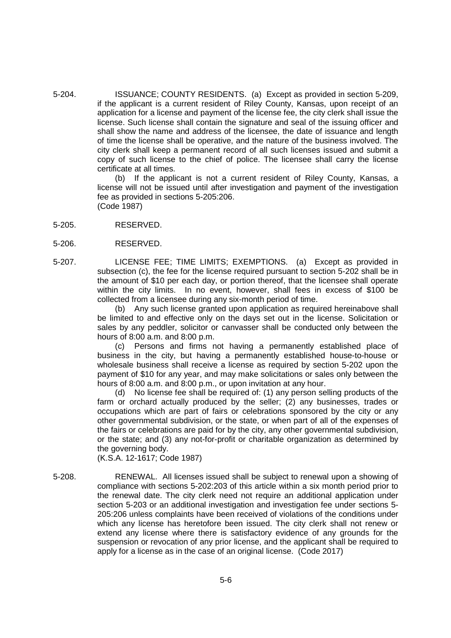5-204. ISSUANCE; COUNTY RESIDENTS. (a) Except as provided in section 5-209, if the applicant is a current resident of Riley County, Kansas, upon receipt of an application for a license and payment of the license fee, the city clerk shall issue the license. Such license shall contain the signature and seal of the issuing officer and shall show the name and address of the licensee, the date of issuance and length of time the license shall be operative, and the nature of the business involved. The city clerk shall keep a permanent record of all such licenses issued and submit a copy of such license to the chief of police. The licensee shall carry the license certificate at all times.

> (b) If the applicant is not a current resident of Riley County, Kansas, a license will not be issued until after investigation and payment of the investigation fee as provided in sections 5-205:206. (Code 1987)

- 5-205. RESERVED.
- 5-206. RESERVED.
- 5-207. LICENSE FEE; TIME LIMITS; EXEMPTIONS. (a) Except as provided in subsection (c), the fee for the license required pursuant to section 5-202 shall be in the amount of \$10 per each day, or portion thereof, that the licensee shall operate within the city limits. In no event, however, shall fees in excess of \$100 be collected from a licensee during any six-month period of time.

(b) Any such license granted upon application as required hereinabove shall be limited to and effective only on the days set out in the license. Solicitation or sales by any peddler, solicitor or canvasser shall be conducted only between the hours of 8:00 a.m. and 8:00 p.m.

(c) Persons and firms not having a permanently established place of business in the city, but having a permanently established house-to-house or wholesale business shall receive a license as required by section 5-202 upon the payment of \$10 for any year, and may make solicitations or sales only between the hours of 8:00 a.m. and 8:00 p.m., or upon invitation at any hour.

(d) No license fee shall be required of: (1) any person selling products of the farm or orchard actually produced by the seller; (2) any businesses, trades or occupations which are part of fairs or celebrations sponsored by the city or any other governmental subdivision, or the state, or when part of all of the expenses of the fairs or celebrations are paid for by the city, any other governmental subdivision, or the state; and (3) any not-for-profit or charitable organization as determined by the governing body.

(K.S.A. 12-1617; Code 1987)

5-208. RENEWAL. All licenses issued shall be subject to renewal upon a showing of compliance with sections 5-202:203 of this article within a six month period prior to the renewal date. The city clerk need not require an additional application under section 5-203 or an additional investigation and investigation fee under sections 5- 205:206 unless complaints have been received of violations of the conditions under which any license has heretofore been issued. The city clerk shall not renew or extend any license where there is satisfactory evidence of any grounds for the suspension or revocation of any prior license, and the applicant shall be required to apply for a license as in the case of an original license. (Code 2017)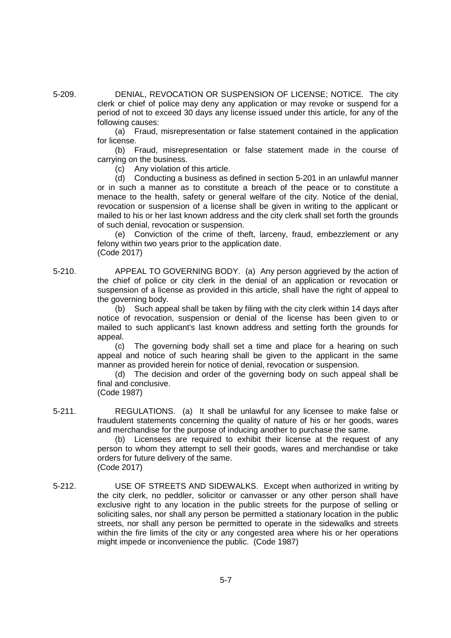5-209. DENIAL, REVOCATION OR SUSPENSION OF LICENSE; NOTICE. The city clerk or chief of police may deny any application or may revoke or suspend for a period of not to exceed 30 days any license issued under this article, for any of the following causes:

> (a) Fraud, misrepresentation or false statement contained in the application for license.

> (b) Fraud, misrepresentation or false statement made in the course of carrying on the business.

(c) Any violation of this article.

(d) Conducting a business as defined in section 5-201 in an unlawful manner or in such a manner as to constitute a breach of the peace or to constitute a menace to the health, safety or general welfare of the city. Notice of the denial, revocation or suspension of a license shall be given in writing to the applicant or mailed to his or her last known address and the city clerk shall set forth the grounds of such denial, revocation or suspension.

(e) Conviction of the crime of theft, larceny, fraud, embezzlement or any felony within two years prior to the application date. (Code 2017)

5-210. APPEAL TO GOVERNING BODY. (a) Any person aggrieved by the action of the chief of police or city clerk in the denial of an application or revocation or suspension of a license as provided in this article, shall have the right of appeal to the governing body.

(b) Such appeal shall be taken by filing with the city clerk within 14 days after notice of revocation, suspension or denial of the license has been given to or mailed to such applicant's last known address and setting forth the grounds for appeal.

(c) The governing body shall set a time and place for a hearing on such appeal and notice of such hearing shall be given to the applicant in the same manner as provided herein for notice of denial, revocation or suspension.

(d) The decision and order of the governing body on such appeal shall be final and conclusive.

(Code 1987)

5-211. REGULATIONS. (a) It shall be unlawful for any licensee to make false or fraudulent statements concerning the quality of nature of his or her goods, wares and merchandise for the purpose of inducing another to purchase the same.

(b) Licensees are required to exhibit their license at the request of any person to whom they attempt to sell their goods, wares and merchandise or take orders for future delivery of the same. (Code 2017)

5-212. USE OF STREETS AND SIDEWALKS. Except when authorized in writing by the city clerk, no peddler, solicitor or canvasser or any other person shall have exclusive right to any location in the public streets for the purpose of selling or soliciting sales, nor shall any person be permitted a stationary location in the public streets, nor shall any person be permitted to operate in the sidewalks and streets within the fire limits of the city or any congested area where his or her operations might impede or inconvenience the public. (Code 1987)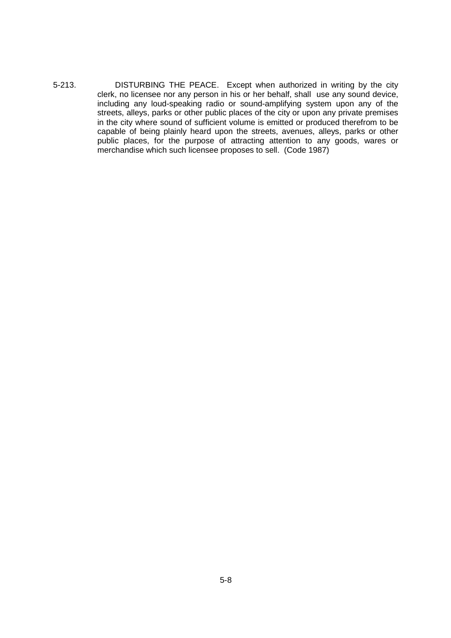5-213. DISTURBING THE PEACE. Except when authorized in writing by the city clerk, no licensee nor any person in his or her behalf, shall use any sound device, including any loud-speaking radio or sound-amplifying system upon any of the streets, alleys, parks or other public places of the city or upon any private premises in the city where sound of sufficient volume is emitted or produced therefrom to be capable of being plainly heard upon the streets, avenues, alleys, parks or other public places, for the purpose of attracting attention to any goods, wares or merchandise which such licensee proposes to sell. (Code 1987)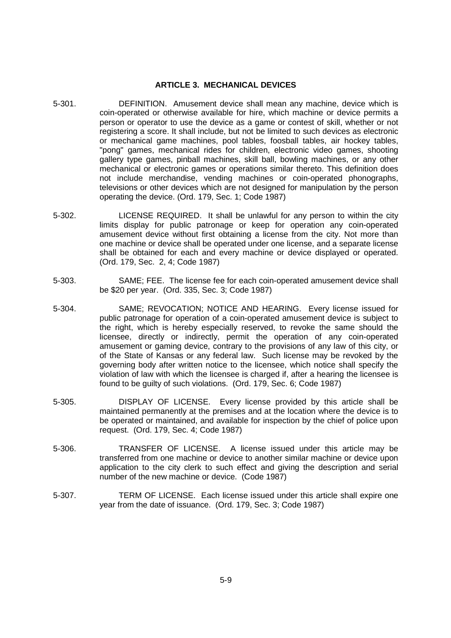#### **ARTICLE 3. MECHANICAL DEVICES**

- 5-301. DEFINITION. Amusement device shall mean any machine, device which is coin-operated or otherwise available for hire, which machine or device permits a person or operator to use the device as a game or contest of skill, whether or not registering a score. It shall include, but not be limited to such devices as electronic or mechanical game machines, pool tables, foosball tables, air hockey tables, "pong" games, mechanical rides for children, electronic video games, shooting gallery type games, pinball machines, skill ball, bowling machines, or any other mechanical or electronic games or operations similar thereto. This definition does not include merchandise, vending machines or coin-operated phonographs, televisions or other devices which are not designed for manipulation by the person operating the device. (Ord. 179, Sec. 1; Code 1987)
- 5-302. LICENSE REQUIRED. It shall be unlawful for any person to within the city limits display for public patronage or keep for operation any coin-operated amusement device without first obtaining a license from the city. Not more than one machine or device shall be operated under one license, and a separate license shall be obtained for each and every machine or device displayed or operated. (Ord. 179, Sec. 2, 4; Code 1987)
- 5-303. SAME; FEE. The license fee for each coin-operated amusement device shall be \$20 per year. (Ord. 335, Sec. 3; Code 1987)
- 5-304. SAME; REVOCATION; NOTICE AND HEARING. Every license issued for public patronage for operation of a coin-operated amusement device is subject to the right, which is hereby especially reserved, to revoke the same should the licensee, directly or indirectly, permit the operation of any coin-operated amusement or gaming device, contrary to the provisions of any law of this city, or of the State of Kansas or any federal law. Such license may be revoked by the governing body after written notice to the licensee, which notice shall specify the violation of law with which the licensee is charged if, after a hearing the licensee is found to be guilty of such violations. (Ord. 179, Sec. 6; Code 1987)
- 5-305. DISPLAY OF LICENSE. Every license provided by this article shall be maintained permanently at the premises and at the location where the device is to be operated or maintained, and available for inspection by the chief of police upon request. (Ord. 179, Sec. 4; Code 1987)
- 5-306. TRANSFER OF LICENSE. A license issued under this article may be transferred from one machine or device to another similar machine or device upon application to the city clerk to such effect and giving the description and serial number of the new machine or device. (Code 1987)
- 5-307. TERM OF LICENSE. Each license issued under this article shall expire one year from the date of issuance. (Ord. 179, Sec. 3; Code 1987)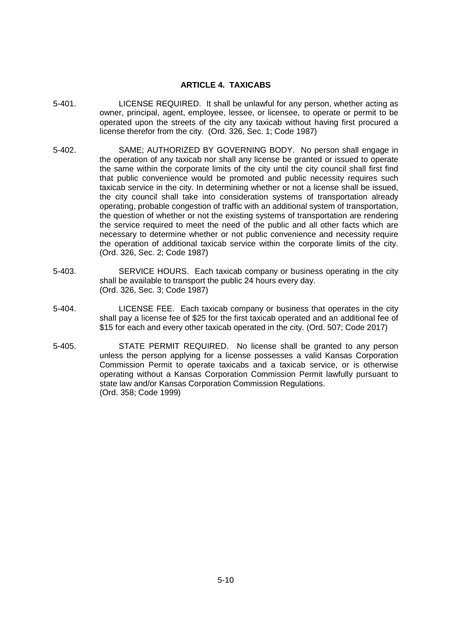## **ARTICLE 4. TAXICABS**

- 5-401. LICENSE REQUIRED. It shall be unlawful for any person, whether acting as owner, principal, agent, employee, lessee, or licensee, to operate or permit to be operated upon the streets of the city any taxicab without having first procured a license therefor from the city. (Ord. 326, Sec. 1; Code 1987)
- 5-402. SAME; AUTHORIZED BY GOVERNING BODY. No person shall engage in the operation of any taxicab nor shall any license be granted or issued to operate the same within the corporate limits of the city until the city council shall first find that public convenience would be promoted and public necessity requires such taxicab service in the city. In determining whether or not a license shall be issued, the city council shall take into consideration systems of transportation already operating, probable congestion of traffic with an additional system of transportation, the question of whether or not the existing systems of transportation are rendering the service required to meet the need of the public and all other facts which are necessary to determine whether or not public convenience and necessity require the operation of additional taxicab service within the corporate limits of the city. (Ord. 326, Sec. 2; Code 1987)
- 5-403. SERVICE HOURS. Each taxicab company or business operating in the city shall be available to transport the public 24 hours every day. (Ord. 326, Sec. 3; Code 1987)
- 5-404. LICENSE FEE. Each taxicab company or business that operates in the city shall pay a license fee of \$25 for the first taxicab operated and an additional fee of \$15 for each and every other taxicab operated in the city. (Ord. 507; Code 2017)
- 5-405. STATE PERMIT REQUIRED. No license shall be granted to any person unless the person applying for a license possesses a valid Kansas Corporation Commission Permit to operate taxicabs and a taxicab service, or is otherwise operating without a Kansas Corporation Commission Permit lawfully pursuant to state law and/or Kansas Corporation Commission Regulations. (Ord. 358; Code 1999)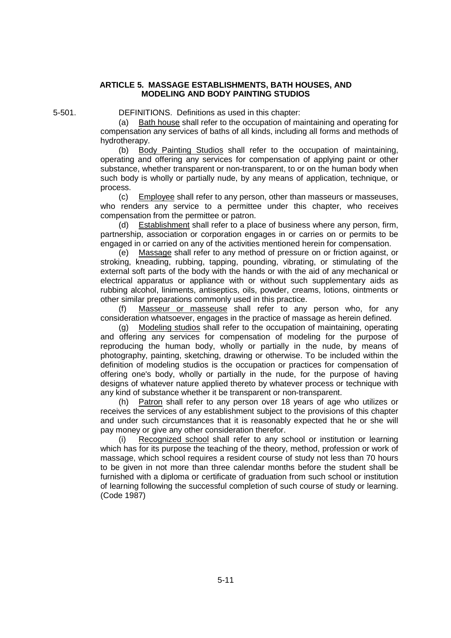## **ARTICLE 5. MASSAGE ESTABLISHMENTS, BATH HOUSES, AND MODELING AND BODY PAINTING STUDIOS**

5-501. DEFINITIONS. Definitions as used in this chapter:

(a) Bath house shall refer to the occupation of maintaining and operating for compensation any services of baths of all kinds, including all forms and methods of hydrotherapy.

(b) Body Painting Studios shall refer to the occupation of maintaining, operating and offering any services for compensation of applying paint or other substance, whether transparent or non-transparent, to or on the human body when such body is wholly or partially nude, by any means of application, technique, or process.

(c) Employee shall refer to any person, other than masseurs or masseuses, who renders any service to a permittee under this chapter, who receives compensation from the permittee or patron.

(d) Establishment shall refer to a place of business where any person, firm, partnership, association or corporation engages in or carries on or permits to be engaged in or carried on any of the activities mentioned herein for compensation.

(e) Massage shall refer to any method of pressure on or friction against, or stroking, kneading, rubbing, tapping, pounding, vibrating, or stimulating of the external soft parts of the body with the hands or with the aid of any mechanical or electrical apparatus or appliance with or without such supplementary aids as rubbing alcohol, liniments, antiseptics, oils, powder, creams, lotions, ointments or other similar preparations commonly used in this practice.

(f) Masseur or masseuse shall refer to any person who, for any consideration whatsoever, engages in the practice of massage as herein defined.

(g) Modeling studios shall refer to the occupation of maintaining, operating and offering any services for compensation of modeling for the purpose of reproducing the human body, wholly or partially in the nude, by means of photography, painting, sketching, drawing or otherwise. To be included within the definition of modeling studios is the occupation or practices for compensation of offering one's body, wholly or partially in the nude, for the purpose of having designs of whatever nature applied thereto by whatever process or technique with any kind of substance whether it be transparent or non-transparent.

(h) Patron shall refer to any person over 18 years of age who utilizes or receives the services of any establishment subject to the provisions of this chapter and under such circumstances that it is reasonably expected that he or she will pay money or give any other consideration therefor.

(i) Recognized school shall refer to any school or institution or learning which has for its purpose the teaching of the theory, method, profession or work of massage, which school requires a resident course of study not less than 70 hours to be given in not more than three calendar months before the student shall be furnished with a diploma or certificate of graduation from such school or institution of learning following the successful completion of such course of study or learning. (Code 1987)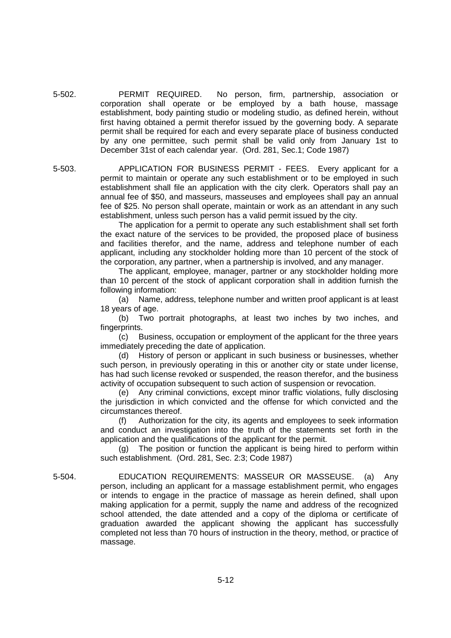5-502. PERMIT REQUIRED. No person, firm, partnership, association or corporation shall operate or be employed by a bath house, massage establishment, body painting studio or modeling studio, as defined herein, without first having obtained a permit therefor issued by the governing body. A separate permit shall be required for each and every separate place of business conducted by any one permittee, such permit shall be valid only from January 1st to December 31st of each calendar year. (Ord. 281, Sec.1; Code 1987)

5-503. APPLICATION FOR BUSINESS PERMIT - FEES. Every applicant for a permit to maintain or operate any such establishment or to be employed in such establishment shall file an application with the city clerk. Operators shall pay an annual fee of \$50, and masseurs, masseuses and employees shall pay an annual fee of \$25. No person shall operate, maintain or work as an attendant in any such establishment, unless such person has a valid permit issued by the city.

> The application for a permit to operate any such establishment shall set forth the exact nature of the services to be provided, the proposed place of business and facilities therefor, and the name, address and telephone number of each applicant, including any stockholder holding more than 10 percent of the stock of the corporation, any partner, when a partnership is involved, and any manager.

> The applicant, employee, manager, partner or any stockholder holding more than 10 percent of the stock of applicant corporation shall in addition furnish the following information:

> (a) Name, address, telephone number and written proof applicant is at least 18 years of age.

> (b) Two portrait photographs, at least two inches by two inches, and fingerprints.

> (c) Business, occupation or employment of the applicant for the three years immediately preceding the date of application.

> (d) History of person or applicant in such business or businesses, whether such person, in previously operating in this or another city or state under license, has had such license revoked or suspended, the reason therefor, and the business activity of occupation subsequent to such action of suspension or revocation.

> (e) Any criminal convictions, except minor traffic violations, fully disclosing the jurisdiction in which convicted and the offense for which convicted and the circumstances thereof.

> (f) Authorization for the city, its agents and employees to seek information and conduct an investigation into the truth of the statements set forth in the application and the qualifications of the applicant for the permit.

> (g) The position or function the applicant is being hired to perform within such establishment. (Ord. 281, Sec. 2:3; Code 1987)

5-504. EDUCATION REQUIREMENTS: MASSEUR OR MASSEUSE. (a) Any person, including an applicant for a massage establishment permit, who engages or intends to engage in the practice of massage as herein defined, shall upon making application for a permit, supply the name and address of the recognized school attended, the date attended and a copy of the diploma or certificate of graduation awarded the applicant showing the applicant has successfully completed not less than 70 hours of instruction in the theory, method, or practice of massage.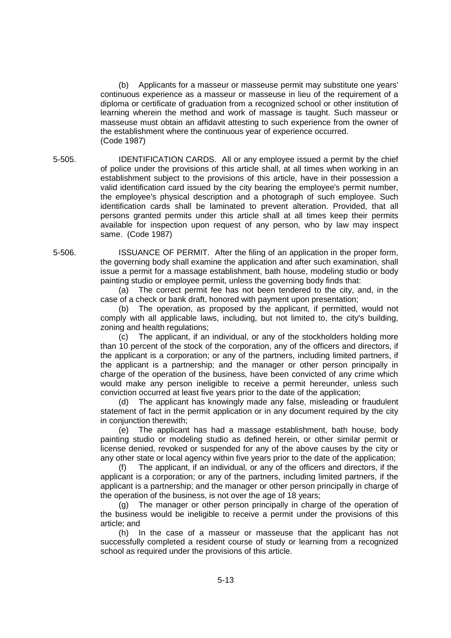(b) Applicants for a masseur or masseuse permit may substitute one years' continuous experience as a masseur or masseuse in lieu of the requirement of a diploma or certificate of graduation from a recognized school or other institution of learning wherein the method and work of massage is taught. Such masseur or masseuse must obtain an affidavit attesting to such experience from the owner of the establishment where the continuous year of experience occurred. (Code 1987)

5-505. IDENTIFICATION CARDS. All or any employee issued a permit by the chief of police under the provisions of this article shall, at all times when working in an establishment subject to the provisions of this article, have in their possession a valid identification card issued by the city bearing the employee's permit number, the employee's physical description and a photograph of such employee. Such identification cards shall be laminated to prevent alteration. Provided, that all persons granted permits under this article shall at all times keep their permits available for inspection upon request of any person, who by law may inspect same. (Code 1987)

5-506. ISSUANCE OF PERMIT. After the filing of an application in the proper form, the governing body shall examine the application and after such examination, shall issue a permit for a massage establishment, bath house, modeling studio or body painting studio or employee permit, unless the governing body finds that:

> (a) The correct permit fee has not been tendered to the city, and, in the case of a check or bank draft, honored with payment upon presentation;

> (b) The operation, as proposed by the applicant, if permitted, would not comply with all applicable laws, including, but not limited to, the city's building, zoning and health regulations;

> (c) The applicant, if an individual, or any of the stockholders holding more than 10 percent of the stock of the corporation, any of the officers and directors, if the applicant is a corporation; or any of the partners, including limited partners, if the applicant is a partnership; and the manager or other person principally in charge of the operation of the business, have been convicted of any crime which would make any person ineligible to receive a permit hereunder, unless such conviction occurred at least five years prior to the date of the application;

> (d) The applicant has knowingly made any false, misleading or fraudulent statement of fact in the permit application or in any document required by the city in conjunction therewith;

> (e) The applicant has had a massage establishment, bath house, body painting studio or modeling studio as defined herein, or other similar permit or license denied, revoked or suspended for any of the above causes by the city or any other state or local agency within five years prior to the date of the application;

> (f) The applicant, if an individual, or any of the officers and directors, if the applicant is a corporation; or any of the partners, including limited partners, if the applicant is a partnership; and the manager or other person principally in charge of the operation of the business, is not over the age of 18 years;

> (g) The manager or other person principally in charge of the operation of the business would be ineligible to receive a permit under the provisions of this article; and

> (h) In the case of a masseur or masseuse that the applicant has not successfully completed a resident course of study or learning from a recognized school as required under the provisions of this article.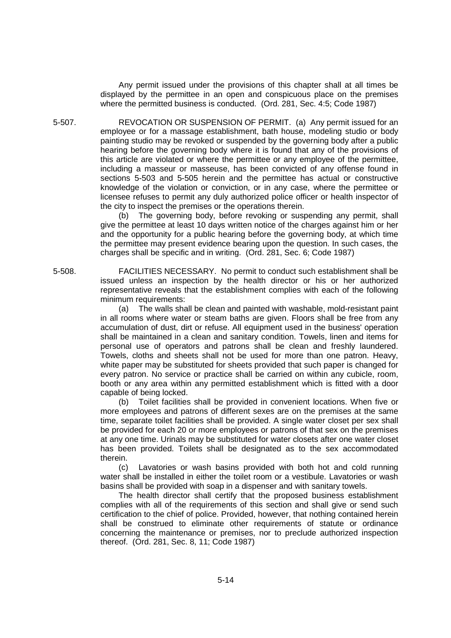Any permit issued under the provisions of this chapter shall at all times be displayed by the permittee in an open and conspicuous place on the premises where the permitted business is conducted. (Ord. 281, Sec. 4:5; Code 1987)

5-507. REVOCATION OR SUSPENSION OF PERMIT. (a) Any permit issued for an employee or for a massage establishment, bath house, modeling studio or body painting studio may be revoked or suspended by the governing body after a public hearing before the governing body where it is found that any of the provisions of this article are violated or where the permittee or any employee of the permittee, including a masseur or masseuse, has been convicted of any offense found in sections 5-503 and 5-505 herein and the permittee has actual or constructive knowledge of the violation or conviction, or in any case, where the permittee or licensee refuses to permit any duly authorized police officer or health inspector of the city to inspect the premises or the operations therein.

> (b) The governing body, before revoking or suspending any permit, shall give the permittee at least 10 days written notice of the charges against him or her and the opportunity for a public hearing before the governing body, at which time the permittee may present evidence bearing upon the question. In such cases, the charges shall be specific and in writing. (Ord. 281, Sec. 6; Code 1987)

5-508. FACILITIES NECESSARY. No permit to conduct such establishment shall be issued unless an inspection by the health director or his or her authorized representative reveals that the establishment complies with each of the following minimum requirements:

> (a) The walls shall be clean and painted with washable, mold-resistant paint in all rooms where water or steam baths are given. Floors shall be free from any accumulation of dust, dirt or refuse. All equipment used in the business' operation shall be maintained in a clean and sanitary condition. Towels, linen and items for personal use of operators and patrons shall be clean and freshly laundered. Towels, cloths and sheets shall not be used for more than one patron. Heavy, white paper may be substituted for sheets provided that such paper is changed for every patron. No service or practice shall be carried on within any cubicle, room, booth or any area within any permitted establishment which is fitted with a door capable of being locked.

> (b) Toilet facilities shall be provided in convenient locations. When five or more employees and patrons of different sexes are on the premises at the same time, separate toilet facilities shall be provided. A single water closet per sex shall be provided for each 20 or more employees or patrons of that sex on the premises at any one time. Urinals may be substituted for water closets after one water closet has been provided. Toilets shall be designated as to the sex accommodated therein.

> (c) Lavatories or wash basins provided with both hot and cold running water shall be installed in either the toilet room or a vestibule. Lavatories or wash basins shall be provided with soap in a dispenser and with sanitary towels.

> The health director shall certify that the proposed business establishment complies with all of the requirements of this section and shall give or send such certification to the chief of police. Provided, however, that nothing contained herein shall be construed to eliminate other requirements of statute or ordinance concerning the maintenance or premises, nor to preclude authorized inspection thereof. (Ord. 281, Sec. 8, 11; Code 1987)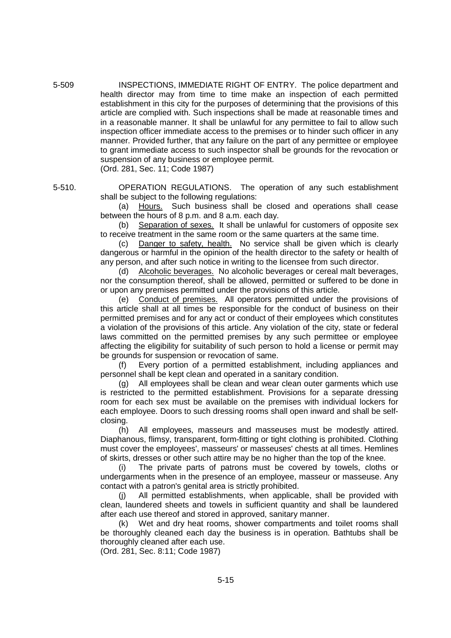5-509 INSPECTIONS, IMMEDIATE RIGHT OF ENTRY. The police department and health director may from time to time make an inspection of each permitted establishment in this city for the purposes of determining that the provisions of this article are complied with. Such inspections shall be made at reasonable times and in a reasonable manner. It shall be unlawful for any permittee to fail to allow such inspection officer immediate access to the premises or to hinder such officer in any manner. Provided further, that any failure on the part of any permittee or employee to grant immediate access to such inspector shall be grounds for the revocation or suspension of any business or employee permit. (Ord. 281, Sec. 11; Code 1987)

5-510. OPERATION REGULATIONS. The operation of any such establishment shall be subject to the following regulations:

> (a) Hours. Such business shall be closed and operations shall cease between the hours of 8 p.m. and 8 a.m. each day.

> Separation of sexes. It shall be unlawful for customers of opposite sex to receive treatment in the same room or the same quarters at the same time.

> (c) Danger to safety, health. No service shall be given which is clearly dangerous or harmful in the opinion of the health director to the safety or health of any person, and after such notice in writing to the licensee from such director.

> (d) Alcoholic beverages. No alcoholic beverages or cereal malt beverages, nor the consumption thereof, shall be allowed, permitted or suffered to be done in or upon any premises permitted under the provisions of this article.

> (e) Conduct of premises. All operators permitted under the provisions of this article shall at all times be responsible for the conduct of business on their permitted premises and for any act or conduct of their employees which constitutes a violation of the provisions of this article. Any violation of the city, state or federal laws committed on the permitted premises by any such permittee or employee affecting the eligibility for suitability of such person to hold a license or permit may be grounds for suspension or revocation of same.

> (f) Every portion of a permitted establishment, including appliances and personnel shall be kept clean and operated in a sanitary condition.

> (g) All employees shall be clean and wear clean outer garments which use is restricted to the permitted establishment. Provisions for a separate dressing room for each sex must be available on the premises with individual lockers for each employee. Doors to such dressing rooms shall open inward and shall be selfclosing.

> (h) All employees, masseurs and masseuses must be modestly attired. Diaphanous, flimsy, transparent, form-fitting or tight clothing is prohibited. Clothing must cover the employees', masseurs' or masseuses' chests at all times. Hemlines of skirts, dresses or other such attire may be no higher than the top of the knee.

> (i) The private parts of patrons must be covered by towels, cloths or undergarments when in the presence of an employee, masseur or masseuse. Any contact with a patron's genital area is strictly prohibited.

> (j) All permitted establishments, when applicable, shall be provided with clean, laundered sheets and towels in sufficient quantity and shall be laundered after each use thereof and stored in approved, sanitary manner.

> (k) Wet and dry heat rooms, shower compartments and toilet rooms shall be thoroughly cleaned each day the business is in operation. Bathtubs shall be thoroughly cleaned after each use.

(Ord. 281, Sec. 8:11; Code 1987)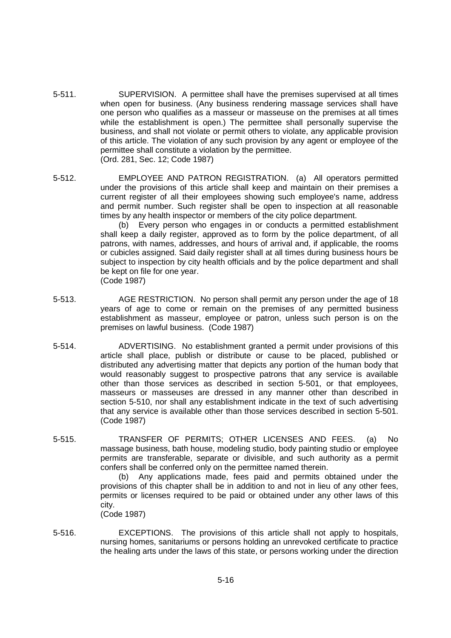- 5-511. SUPERVISION. A permittee shall have the premises supervised at all times when open for business. (Any business rendering massage services shall have one person who qualifies as a masseur or masseuse on the premises at all times while the establishment is open.) The permittee shall personally supervise the business, and shall not violate or permit others to violate, any applicable provision of this article. The violation of any such provision by any agent or employee of the permittee shall constitute a violation by the permittee. (Ord. 281, Sec. 12; Code 1987)
- 5-512. EMPLOYEE AND PATRON REGISTRATION. (a) All operators permitted under the provisions of this article shall keep and maintain on their premises a current register of all their employees showing such employee's name, address and permit number. Such register shall be open to inspection at all reasonable times by any health inspector or members of the city police department.

(b) Every person who engages in or conducts a permitted establishment shall keep a daily register, approved as to form by the police department, of all patrons, with names, addresses, and hours of arrival and, if applicable, the rooms or cubicles assigned. Said daily register shall at all times during business hours be subject to inspection by city health officials and by the police department and shall be kept on file for one year. (Code 1987)

- 5-513. AGE RESTRICTION. No person shall permit any person under the age of 18 years of age to come or remain on the premises of any permitted business establishment as masseur, employee or patron, unless such person is on the premises on lawful business. (Code 1987)
- 5-514. ADVERTISING. No establishment granted a permit under provisions of this article shall place, publish or distribute or cause to be placed, published or distributed any advertising matter that depicts any portion of the human body that would reasonably suggest to prospective patrons that any service is available other than those services as described in section 5-501, or that employees, masseurs or masseuses are dressed in any manner other than described in section 5-510, nor shall any establishment indicate in the text of such advertising that any service is available other than those services described in section 5-501. (Code 1987)
- 5-515. TRANSFER OF PERMITS; OTHER LICENSES AND FEES. (a) No massage business, bath house, modeling studio, body painting studio or employee permits are transferable, separate or divisible, and such authority as a permit confers shall be conferred only on the permittee named therein.

(b) Any applications made, fees paid and permits obtained under the provisions of this chapter shall be in addition to and not in lieu of any other fees, permits or licenses required to be paid or obtained under any other laws of this city.

(Code 1987)

5-516. EXCEPTIONS. The provisions of this article shall not apply to hospitals, nursing homes, sanitariums or persons holding an unrevoked certificate to practice the healing arts under the laws of this state, or persons working under the direction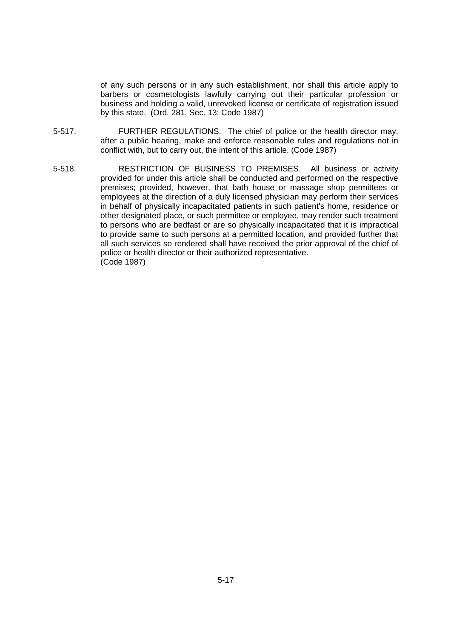of any such persons or in any such establishment, nor shall this article apply to barbers or cosmetologists lawfully carrying out their particular profession or business and holding a valid, unrevoked license or certificate of registration issued by this state. (Ord. 281, Sec. 13; Code 1987)

- 5-517. FURTHER REGULATIONS. The chief of police or the health director may, after a public hearing, make and enforce reasonable rules and regulations not in conflict with, but to carry out, the intent of this article. (Code 1987)
- 5-518. RESTRICTION OF BUSINESS TO PREMISES. All business or activity provided for under this article shall be conducted and performed on the respective premises; provided, however, that bath house or massage shop permittees or employees at the direction of a duly licensed physician may perform their services in behalf of physically incapacitated patients in such patient's home, residence or other designated place, or such permittee or employee, may render such treatment to persons who are bedfast or are so physically incapacitated that it is impractical to provide same to such persons at a permitted location, and provided further that all such services so rendered shall have received the prior approval of the chief of police or health director or their authorized representative. (Code 1987)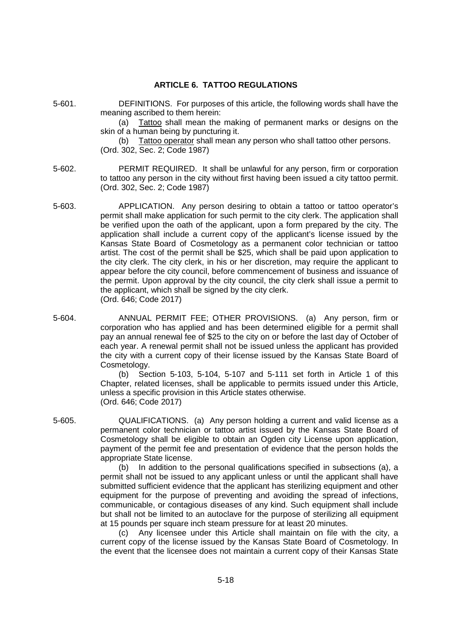## **ARTICLE 6. TATTOO REGULATIONS**

- 5-601. DEFINITIONS. For purposes of this article, the following words shall have the meaning ascribed to them herein: (a) Tattoo shall mean the making of permanent marks or designs on the skin of a human being by puncturing it. (b) Tattoo operator shall mean any person who shall tattoo other persons. (Ord. 302, Sec. 2; Code 1987) 5-602. PERMIT REQUIRED. It shall be unlawful for any person, firm or corporation to tattoo any person in the city without first having been issued a city tattoo permit. (Ord. 302, Sec. 2; Code 1987) 5-603. APPLICATION. Any person desiring to obtain a tattoo or tattoo operator's permit shall make application for such permit to the city clerk. The application shall be verified upon the oath of the applicant, upon a form prepared by the city. The application shall include a current copy of the applicant's license issued by the Kansas State Board of Cosmetology as a permanent color technician or tattoo artist. The cost of the permit shall be \$25, which shall be paid upon application to the city clerk. The city clerk, in his or her discretion, may require the applicant to appear before the city council, before commencement of business and issuance of the permit. Upon approval by the city council, the city clerk shall issue a permit to the applicant, which shall be signed by the city clerk.
	- (Ord. 646; Code 2017)
- 5-604. ANNUAL PERMIT FEE; OTHER PROVISIONS. (a) Any person, firm or corporation who has applied and has been determined eligible for a permit shall pay an annual renewal fee of \$25 to the city on or before the last day of October of each year. A renewal permit shall not be issued unless the applicant has provided the city with a current copy of their license issued by the Kansas State Board of Cosmetology.

(b) Section 5-103, 5-104, 5-107 and 5-111 set forth in Article 1 of this Chapter, related licenses, shall be applicable to permits issued under this Article, unless a specific provision in this Article states otherwise. (Ord. 646; Code 2017)

5-605. QUALIFICATIONS. (a) Any person holding a current and valid license as a permanent color technician or tattoo artist issued by the Kansas State Board of Cosmetology shall be eligible to obtain an Ogden city License upon application, payment of the permit fee and presentation of evidence that the person holds the appropriate State license.

> (b) In addition to the personal qualifications specified in subsections (a), a permit shall not be issued to any applicant unless or until the applicant shall have submitted sufficient evidence that the applicant has sterilizing equipment and other equipment for the purpose of preventing and avoiding the spread of infections, communicable, or contagious diseases of any kind. Such equipment shall include but shall not be limited to an autoclave for the purpose of sterilizing all equipment at 15 pounds per square inch steam pressure for at least 20 minutes.

> (c) Any licensee under this Article shall maintain on file with the city, a current copy of the license issued by the Kansas State Board of Cosmetology. In the event that the licensee does not maintain a current copy of their Kansas State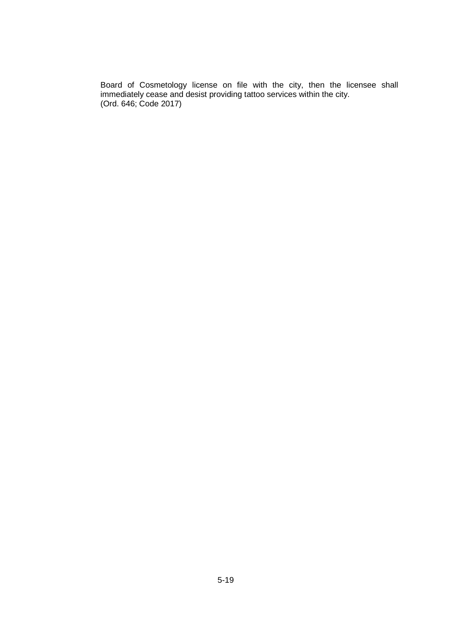Board of Cosmetology license on file with the city, then the licensee shall immediately cease and desist providing tattoo services within the city. (Ord. 646; Code 2017)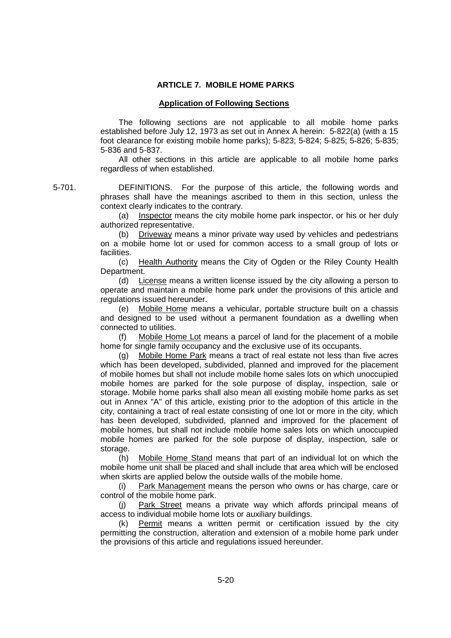# **ARTICLE 7. MOBILE HOME PARKS**

## **Application of Following Sections**

The following sections are not applicable to all mobile home parks established before July 12, 1973 as set out in Annex A herein: 5-822(a) (with a 15 foot clearance for existing mobile home parks); 5-823; 5-824; 5-825; 5-826; 5-835; 5-836 and 5-837.

All other sections in this article are applicable to all mobile home parks regardless of when established.

5-701. DEFINITIONS. For the purpose of this article, the following words and phrases shall have the meanings ascribed to them in this section, unless the context clearly indicates to the contrary.

> (a) Inspector means the city mobile home park inspector, or his or her duly authorized representative.

> (b) Driveway means a minor private way used by vehicles and pedestrians on a mobile home lot or used for common access to a small group of lots or facilities.

> (c) Health Authority means the City of Ogden or the Riley County Health Department.

> (d) License means a written license issued by the city allowing a person to operate and maintain a mobile home park under the provisions of this article and regulations issued hereunder.

> (e) Mobile Home means a vehicular, portable structure built on a chassis and designed to be used without a permanent foundation as a dwelling when connected to utilities.

> (f) Mobile Home Lot means a parcel of land for the placement of a mobile home for single family occupancy and the exclusive use of its occupants.

> (g) Mobile Home Park means a tract of real estate not less than five acres which has been developed, subdivided, planned and improved for the placement of mobile homes but shall not include mobile home sales lots on which unoccupied mobile homes are parked for the sole purpose of display, inspection, sale or storage. Mobile home parks shall also mean all existing mobile home parks as set out in Annex "A" of this article, existing prior to the adoption of this article in the city, containing a tract of real estate consisting of one lot or more in the city, which has been developed, subdivided, planned and improved for the placement of mobile homes, but shall not include mobile home sales lots on which unoccupied mobile homes are parked for the sole purpose of display, inspection, sale or storage.

> (h) Mobile Home Stand means that part of an individual lot on which the mobile home unit shall be placed and shall include that area which will be enclosed when skirts are applied below the outside walls of the mobile home.

> (i) Park Management means the person who owns or has charge, care or control of the mobile home park.

> Park Street means a private way which affords principal means of access to individual mobile home lots or auxiliary buildings.

> (k) Permit means a written permit or certification issued by the city permitting the construction, alteration and extension of a mobile home park under the provisions of this article and regulations issued hereunder.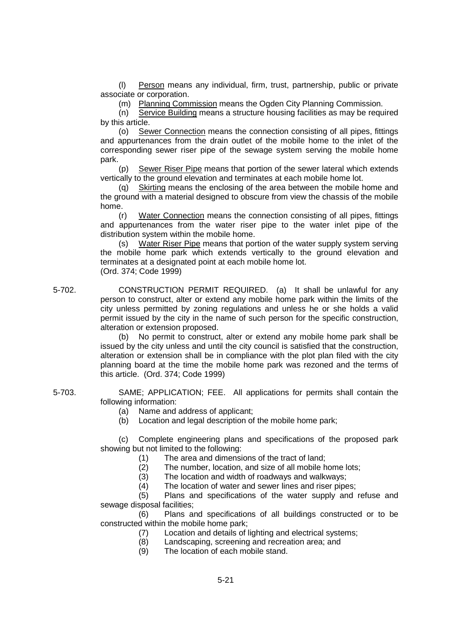(l) Person means any individual, firm, trust, partnership, public or private associate or corporation.

(m) Planning Commission means the Ogden City Planning Commission.

(n) Service Building means a structure housing facilities as may be required by this article.

(o) Sewer Connection means the connection consisting of all pipes, fittings and appurtenances from the drain outlet of the mobile home to the inlet of the corresponding sewer riser pipe of the sewage system serving the mobile home park.

(p) Sewer Riser Pipe means that portion of the sewer lateral which extends vertically to the ground elevation and terminates at each mobile home lot.

(q) Skirting means the enclosing of the area between the mobile home and the ground with a material designed to obscure from view the chassis of the mobile home.

(r) Water Connection means the connection consisting of all pipes, fittings and appurtenances from the water riser pipe to the water inlet pipe of the distribution system within the mobile home.

(s) Water Riser Pipe means that portion of the water supply system serving the mobile home park which extends vertically to the ground elevation and terminates at a designated point at each mobile home lot. (Ord. 374; Code 1999)

5-702. CONSTRUCTION PERMIT REQUIRED. (a) It shall be unlawful for any person to construct, alter or extend any mobile home park within the limits of the city unless permitted by zoning regulations and unless he or she holds a valid permit issued by the city in the name of such person for the specific construction, alteration or extension proposed.

(b) No permit to construct, alter or extend any mobile home park shall be issued by the city unless and until the city council is satisfied that the construction, alteration or extension shall be in compliance with the plot plan filed with the city planning board at the time the mobile home park was rezoned and the terms of this article. (Ord. 374; Code 1999)

5-703. SAME; APPLICATION; FEE. All applications for permits shall contain the following information:

- (a) Name and address of applicant;
- (b) Location and legal description of the mobile home park;

(c) Complete engineering plans and specifications of the proposed park showing but not limited to the following:

- (1) The area and dimensions of the tract of land;
- (2) The number, location, and size of all mobile home lots;<br>(3) The location and width of roadways and walkways:
- The location and width of roadways and walkways;
- (4) The location of water and sewer lines and riser pipes;

(5) Plans and specifications of the water supply and refuse and sewage disposal facilities;

(6) Plans and specifications of all buildings constructed or to be constructed within the mobile home park;

- (7) Location and details of lighting and electrical systems;
- (8) Landscaping, screening and recreation area; and
- (9) The location of each mobile stand.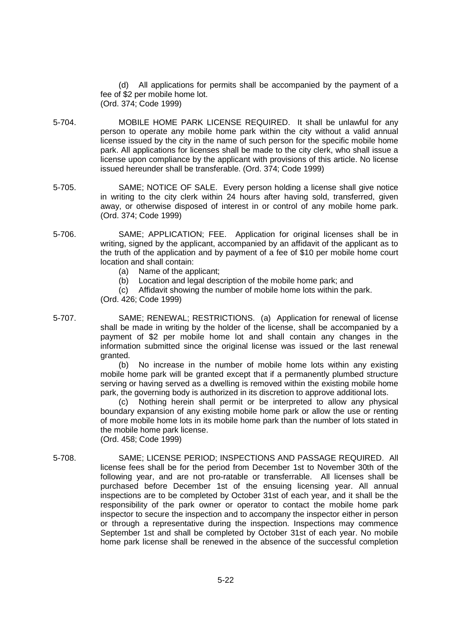(d) All applications for permits shall be accompanied by the payment of a fee of \$2 per mobile home lot. (Ord. 374; Code 1999)

- 5-704. MOBILE HOME PARK LICENSE REQUIRED. It shall be unlawful for any person to operate any mobile home park within the city without a valid annual license issued by the city in the name of such person for the specific mobile home park. All applications for licenses shall be made to the city clerk, who shall issue a license upon compliance by the applicant with provisions of this article. No license issued hereunder shall be transferable. (Ord. 374; Code 1999)
- 5-705. SAME; NOTICE OF SALE. Every person holding a license shall give notice in writing to the city clerk within 24 hours after having sold, transferred, given away, or otherwise disposed of interest in or control of any mobile home park. (Ord. 374; Code 1999)
- 5-706. SAME; APPLICATION; FEE. Application for original licenses shall be in writing, signed by the applicant, accompanied by an affidavit of the applicant as to the truth of the application and by payment of a fee of \$10 per mobile home court location and shall contain:
	- (a) Name of the applicant;
	- (b) Location and legal description of the mobile home park; and

(c) Affidavit showing the number of mobile home lots within the park. (Ord. 426; Code 1999)

5-707. SAME; RENEWAL; RESTRICTIONS. (a) Application for renewal of license shall be made in writing by the holder of the license, shall be accompanied by a payment of \$2 per mobile home lot and shall contain any changes in the information submitted since the original license was issued or the last renewal granted.

> (b) No increase in the number of mobile home lots within any existing mobile home park will be granted except that if a permanently plumbed structure serving or having served as a dwelling is removed within the existing mobile home park, the governing body is authorized in its discretion to approve additional lots.

> (c) Nothing herein shall permit or be interpreted to allow any physical boundary expansion of any existing mobile home park or allow the use or renting of more mobile home lots in its mobile home park than the number of lots stated in the mobile home park license.

- (Ord. 458; Code 1999)
- 5-708. SAME; LICENSE PERIOD; INSPECTIONS AND PASSAGE REQUIRED. All license fees shall be for the period from December 1st to November 30th of the following year, and are not pro-ratable or transferrable. All licenses shall be purchased before December 1st of the ensuing licensing year. All annual inspections are to be completed by October 31st of each year, and it shall be the responsibility of the park owner or operator to contact the mobile home park inspector to secure the inspection and to accompany the inspector either in person or through a representative during the inspection. Inspections may commence September 1st and shall be completed by October 31st of each year. No mobile home park license shall be renewed in the absence of the successful completion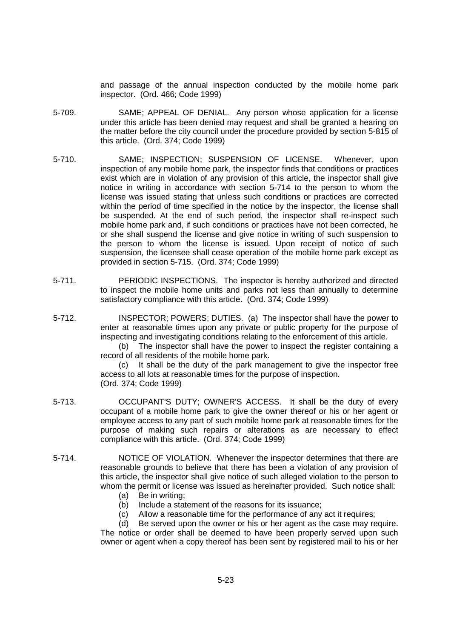and passage of the annual inspection conducted by the mobile home park inspector. (Ord. 466; Code 1999)

- 5-709. SAME; APPEAL OF DENIAL. Any person whose application for a license under this article has been denied may request and shall be granted a hearing on the matter before the city council under the procedure provided by section 5-815 of this article. (Ord. 374; Code 1999)
- 5-710. SAME; INSPECTION; SUSPENSION OF LICENSE. Whenever, upon inspection of any mobile home park, the inspector finds that conditions or practices exist which are in violation of any provision of this article, the inspector shall give notice in writing in accordance with section 5-714 to the person to whom the license was issued stating that unless such conditions or practices are corrected within the period of time specified in the notice by the inspector, the license shall be suspended. At the end of such period, the inspector shall re-inspect such mobile home park and, if such conditions or practices have not been corrected, he or she shall suspend the license and give notice in writing of such suspension to the person to whom the license is issued. Upon receipt of notice of such suspension, the licensee shall cease operation of the mobile home park except as provided in section 5-715. (Ord. 374; Code 1999)
- 5-711. PERIODIC INSPECTIONS. The inspector is hereby authorized and directed to inspect the mobile home units and parks not less than annually to determine satisfactory compliance with this article. (Ord. 374; Code 1999)
- 5-712. INSPECTOR; POWERS; DUTIES. (a) The inspector shall have the power to enter at reasonable times upon any private or public property for the purpose of inspecting and investigating conditions relating to the enforcement of this article.

(b) The inspector shall have the power to inspect the register containing a record of all residents of the mobile home park.

(c) It shall be the duty of the park management to give the inspector free access to all lots at reasonable times for the purpose of inspection. (Ord. 374; Code 1999)

- 5-713. OCCUPANT'S DUTY; OWNER'S ACCESS. It shall be the duty of every occupant of a mobile home park to give the owner thereof or his or her agent or employee access to any part of such mobile home park at reasonable times for the purpose of making such repairs or alterations as are necessary to effect compliance with this article. (Ord. 374; Code 1999)
- 5-714. NOTICE OF VIOLATION. Whenever the inspector determines that there are reasonable grounds to believe that there has been a violation of any provision of this article, the inspector shall give notice of such alleged violation to the person to whom the permit or license was issued as hereinafter provided. Such notice shall:
	- (a) Be in writing;
	- (b) Include a statement of the reasons for its issuance;
	- (c) Allow a reasonable time for the performance of any act it requires;
	- (d) Be served upon the owner or his or her agent as the case may require.

The notice or order shall be deemed to have been properly served upon such owner or agent when a copy thereof has been sent by registered mail to his or her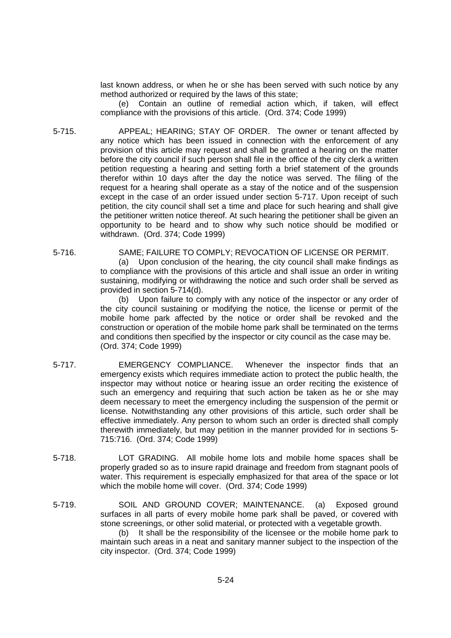last known address, or when he or she has been served with such notice by any method authorized or required by the laws of this state;

(e) Contain an outline of remedial action which, if taken, will effect compliance with the provisions of this article. (Ord. 374; Code 1999)

- 5-715. APPEAL; HEARING; STAY OF ORDER. The owner or tenant affected by any notice which has been issued in connection with the enforcement of any provision of this article may request and shall be granted a hearing on the matter before the city council if such person shall file in the office of the city clerk a written petition requesting a hearing and setting forth a brief statement of the grounds therefor within 10 days after the day the notice was served. The filing of the request for a hearing shall operate as a stay of the notice and of the suspension except in the case of an order issued under section 5-717. Upon receipt of such petition, the city council shall set a time and place for such hearing and shall give the petitioner written notice thereof. At such hearing the petitioner shall be given an opportunity to be heard and to show why such notice should be modified or withdrawn. (Ord. 374; Code 1999)
- 5-716. SAME; FAILURE TO COMPLY; REVOCATION OF LICENSE OR PERMIT. (a) Upon conclusion of the hearing, the city council shall make findings as to compliance with the provisions of this article and shall issue an order in writing sustaining, modifying or withdrawing the notice and such order shall be served as provided in section 5-714(d).

(b) Upon failure to comply with any notice of the inspector or any order of the city council sustaining or modifying the notice, the license or permit of the mobile home park affected by the notice or order shall be revoked and the construction or operation of the mobile home park shall be terminated on the terms and conditions then specified by the inspector or city council as the case may be. (Ord. 374; Code 1999)

- 5-717. EMERGENCY COMPLIANCE. Whenever the inspector finds that an emergency exists which requires immediate action to protect the public health, the inspector may without notice or hearing issue an order reciting the existence of such an emergency and requiring that such action be taken as he or she may deem necessary to meet the emergency including the suspension of the permit or license. Notwithstanding any other provisions of this article, such order shall be effective immediately. Any person to whom such an order is directed shall comply therewith immediately, but may petition in the manner provided for in sections 5- 715:716. (Ord. 374; Code 1999)
- 5-718. LOT GRADING. All mobile home lots and mobile home spaces shall be properly graded so as to insure rapid drainage and freedom from stagnant pools of water. This requirement is especially emphasized for that area of the space or lot which the mobile home will cover. (Ord. 374; Code 1999)
- 5-719. SOIL AND GROUND COVER; MAINTENANCE. (a) Exposed ground surfaces in all parts of every mobile home park shall be paved, or covered with stone screenings, or other solid material, or protected with a vegetable growth. (b) It shall be the responsibility of the licensee or the mobile home park to

maintain such areas in a neat and sanitary manner subject to the inspection of the city inspector. (Ord. 374; Code 1999)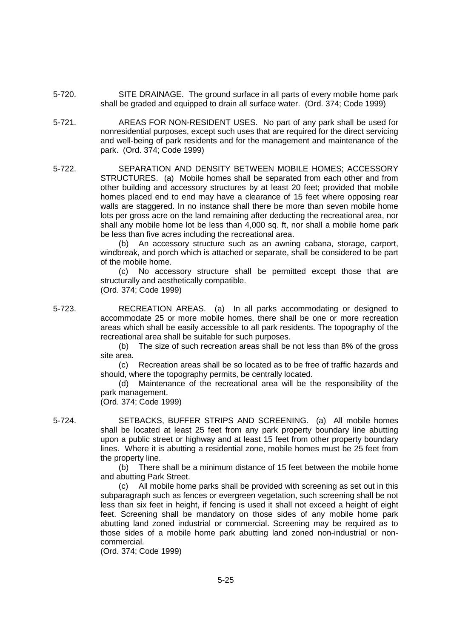- 5-720. SITE DRAINAGE. The ground surface in all parts of every mobile home park shall be graded and equipped to drain all surface water. (Ord. 374; Code 1999)
- 5-721. AREAS FOR NON-RESIDENT USES. No part of any park shall be used for nonresidential purposes, except such uses that are required for the direct servicing and well-being of park residents and for the management and maintenance of the park. (Ord. 374; Code 1999)
- 5-722. SEPARATION AND DENSITY BETWEEN MOBILE HOMES; ACCESSORY STRUCTURES. (a) Mobile homes shall be separated from each other and from other building and accessory structures by at least 20 feet; provided that mobile homes placed end to end may have a clearance of 15 feet where opposing rear walls are staggered. In no instance shall there be more than seven mobile home lots per gross acre on the land remaining after deducting the recreational area, nor shall any mobile home lot be less than 4,000 sq. ft, nor shall a mobile home park be less than five acres including the recreational area.

(b) An accessory structure such as an awning cabana, storage, carport, windbreak, and porch which is attached or separate, shall be considered to be part of the mobile home.

(c) No accessory structure shall be permitted except those that are structurally and aesthetically compatible. (Ord. 374; Code 1999)

5-723. RECREATION AREAS. (a) In all parks accommodating or designed to accommodate 25 or more mobile homes, there shall be one or more recreation areas which shall be easily accessible to all park residents. The topography of the recreational area shall be suitable for such purposes.

> (b) The size of such recreation areas shall be not less than 8% of the gross site area.

> (c) Recreation areas shall be so located as to be free of traffic hazards and should, where the topography permits, be centrally located.

> (d) Maintenance of the recreational area will be the responsibility of the park management.

(Ord. 374; Code 1999)

5-724. SETBACKS, BUFFER STRIPS AND SCREENING. (a) All mobile homes shall be located at least 25 feet from any park property boundary line abutting upon a public street or highway and at least 15 feet from other property boundary lines. Where it is abutting a residential zone, mobile homes must be 25 feet from the property line.

> (b) There shall be a minimum distance of 15 feet between the mobile home and abutting Park Street.

> (c) All mobile home parks shall be provided with screening as set out in this subparagraph such as fences or evergreen vegetation, such screening shall be not less than six feet in height, if fencing is used it shall not exceed a height of eight feet. Screening shall be mandatory on those sides of any mobile home park abutting land zoned industrial or commercial. Screening may be required as to those sides of a mobile home park abutting land zoned non-industrial or noncommercial.

(Ord. 374; Code 1999)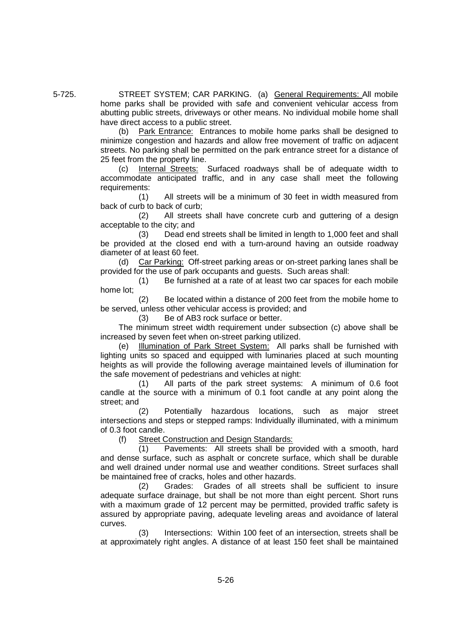5-725. STREET SYSTEM; CAR PARKING. (a) General Requirements: All mobile home parks shall be provided with safe and convenient vehicular access from abutting public streets, driveways or other means. No individual mobile home shall have direct access to a public street.

(b) Park Entrance: Entrances to mobile home parks shall be designed to minimize congestion and hazards and allow free movement of traffic on adjacent streets. No parking shall be permitted on the park entrance street for a distance of 25 feet from the property line.

(c) Internal Streets: Surfaced roadways shall be of adequate width to accommodate anticipated traffic, and in any case shall meet the following requirements:

(1) All streets will be a minimum of 30 feet in width measured from back of curb to back of curb;

(2) All streets shall have concrete curb and guttering of a design acceptable to the city; and

(3) Dead end streets shall be limited in length to 1,000 feet and shall be provided at the closed end with a turn-around having an outside roadway diameter of at least 60 feet.

(d) Car Parking: Off-street parking areas or on-street parking lanes shall be provided for the use of park occupants and guests. Such areas shall:

(1) Be furnished at a rate of at least two car spaces for each mobile home lot;

(2) Be located within a distance of 200 feet from the mobile home to be served, unless other vehicular access is provided; and

(3) Be of AB3 rock surface or better.

The minimum street width requirement under subsection (c) above shall be increased by seven feet when on-street parking utilized.

(e) Illumination of Park Street System: All parks shall be furnished with lighting units so spaced and equipped with luminaries placed at such mounting heights as will provide the following average maintained levels of illumination for the safe movement of pedestrians and vehicles at night:

(1) All parts of the park street systems: A minimum of 0.6 foot candle at the source with a minimum of 0.1 foot candle at any point along the street; and

(2) Potentially hazardous locations, such as major street intersections and steps or stepped ramps: Individually illuminated, with a minimum of 0.3 foot candle.

(f) Street Construction and Design Standards:

(1) Pavements: All streets shall be provided with a smooth, hard and dense surface, such as asphalt or concrete surface, which shall be durable and well drained under normal use and weather conditions. Street surfaces shall be maintained free of cracks, holes and other hazards.

(2) Grades: Grades of all streets shall be sufficient to insure adequate surface drainage, but shall be not more than eight percent. Short runs with a maximum grade of 12 percent may be permitted, provided traffic safety is assured by appropriate paving, adequate leveling areas and avoidance of lateral curves.

(3) Intersections: Within 100 feet of an intersection, streets shall be at approximately right angles. A distance of at least 150 feet shall be maintained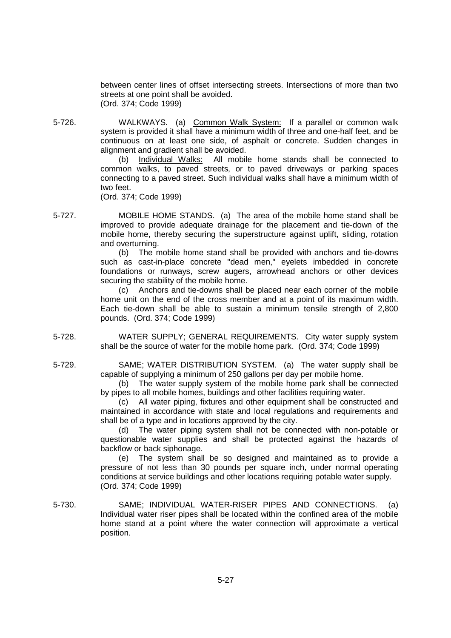between center lines of offset intersecting streets. Intersections of more than two streets at one point shall be avoided. (Ord. 374; Code 1999)

5-726. WALKWAYS. (a) Common Walk System: If a parallel or common walk system is provided it shall have a minimum width of three and one-half feet, and be continuous on at least one side, of asphalt or concrete. Sudden changes in alignment and gradient shall be avoided.

(b) Individual Walks: All mobile home stands shall be connected to common walks, to paved streets, or to paved driveways or parking spaces connecting to a paved street. Such individual walks shall have a minimum width of two feet.

(Ord. 374; Code 1999)

5-727. MOBILE HOME STANDS. (a) The area of the mobile home stand shall be improved to provide adequate drainage for the placement and tie-down of the mobile home, thereby securing the superstructure against uplift, sliding, rotation and overturning.

(b) The mobile home stand shall be provided with anchors and tie-downs such as cast-in-place concrete "dead men," eyelets imbedded in concrete foundations or runways, screw augers, arrowhead anchors or other devices securing the stability of the mobile home.

(c) Anchors and tie-downs shall be placed near each corner of the mobile home unit on the end of the cross member and at a point of its maximum width. Each tie-down shall be able to sustain a minimum tensile strength of 2,800 pounds. (Ord. 374; Code 1999)

5-728. WATER SUPPLY; GENERAL REQUIREMENTS. City water supply system shall be the source of water for the mobile home park. (Ord. 374; Code 1999)

5-729. SAME; WATER DISTRIBUTION SYSTEM. (a) The water supply shall be capable of supplying a minimum of 250 gallons per day per mobile home.

(b) The water supply system of the mobile home park shall be connected by pipes to all mobile homes, buildings and other facilities requiring water.

(c) All water piping, fixtures and other equipment shall be constructed and maintained in accordance with state and local regulations and requirements and shall be of a type and in locations approved by the city.

(d) The water piping system shall not be connected with non-potable or questionable water supplies and shall be protected against the hazards of backflow or back siphonage.

(e) The system shall be so designed and maintained as to provide a pressure of not less than 30 pounds per square inch, under normal operating conditions at service buildings and other locations requiring potable water supply. (Ord. 374; Code 1999)

5-730. SAME; INDIVIDUAL WATER-RISER PIPES AND CONNECTIONS. (a) Individual water riser pipes shall be located within the confined area of the mobile home stand at a point where the water connection will approximate a vertical position.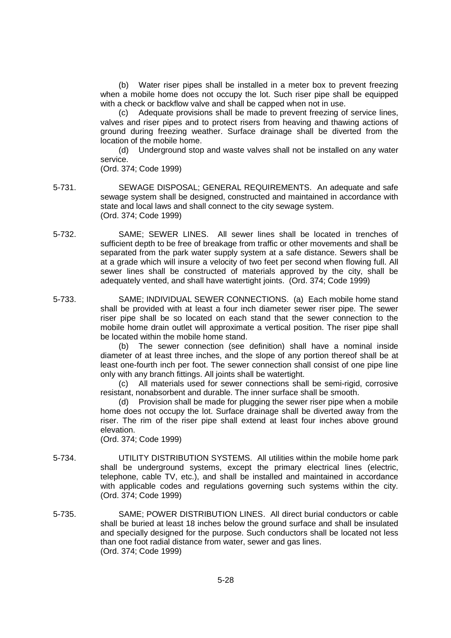(b) Water riser pipes shall be installed in a meter box to prevent freezing when a mobile home does not occupy the lot. Such riser pipe shall be equipped with a check or backflow valve and shall be capped when not in use.

(c) Adequate provisions shall be made to prevent freezing of service lines, valves and riser pipes and to protect risers from heaving and thawing actions of ground during freezing weather. Surface drainage shall be diverted from the location of the mobile home.

(d) Underground stop and waste valves shall not be installed on any water service.

(Ord. 374; Code 1999)

- 5-731. SEWAGE DISPOSAL; GENERAL REQUIREMENTS. An adequate and safe sewage system shall be designed, constructed and maintained in accordance with state and local laws and shall connect to the city sewage system. (Ord. 374; Code 1999)
- 5-732. SAME; SEWER LINES. All sewer lines shall be located in trenches of sufficient depth to be free of breakage from traffic or other movements and shall be separated from the park water supply system at a safe distance. Sewers shall be at a grade which will insure a velocity of two feet per second when flowing full. All sewer lines shall be constructed of materials approved by the city, shall be adequately vented, and shall have watertight joints. (Ord. 374; Code 1999)
- 5-733. SAME; INDIVIDUAL SEWER CONNECTIONS. (a) Each mobile home stand shall be provided with at least a four inch diameter sewer riser pipe. The sewer riser pipe shall be so located on each stand that the sewer connection to the mobile home drain outlet will approximate a vertical position. The riser pipe shall be located within the mobile home stand.

(b) The sewer connection (see definition) shall have a nominal inside diameter of at least three inches, and the slope of any portion thereof shall be at least one-fourth inch per foot. The sewer connection shall consist of one pipe line only with any branch fittings. All joints shall be watertight.

(c) All materials used for sewer connections shall be semi-rigid, corrosive resistant, nonabsorbent and durable. The inner surface shall be smooth.

(d) Provision shall be made for plugging the sewer riser pipe when a mobile home does not occupy the lot. Surface drainage shall be diverted away from the riser. The rim of the riser pipe shall extend at least four inches above ground elevation.

(Ord. 374; Code 1999)

- 5-734. UTILITY DISTRIBUTION SYSTEMS. All utilities within the mobile home park shall be underground systems, except the primary electrical lines (electric, telephone, cable TV, etc.), and shall be installed and maintained in accordance with applicable codes and regulations governing such systems within the city. (Ord. 374; Code 1999)
- 5-735. SAME; POWER DISTRIBUTION LINES. All direct burial conductors or cable shall be buried at least 18 inches below the ground surface and shall be insulated and specially designed for the purpose. Such conductors shall be located not less than one foot radial distance from water, sewer and gas lines. (Ord. 374; Code 1999)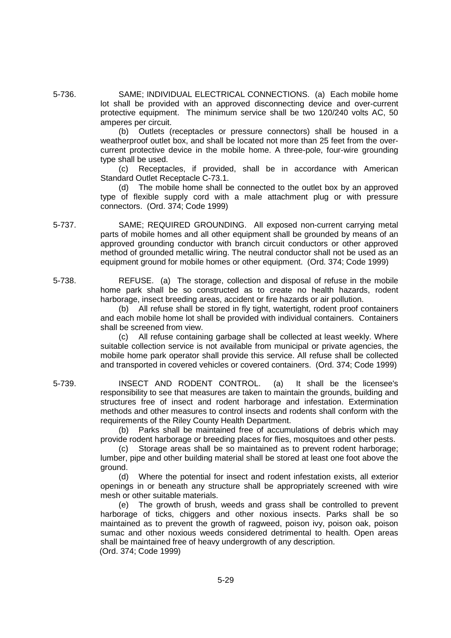5-736. SAME; INDIVIDUAL ELECTRICAL CONNECTIONS. (a) Each mobile home lot shall be provided with an approved disconnecting device and over-current protective equipment. The minimum service shall be two 120/240 volts AC, 50 amperes per circuit.

> (b) Outlets (receptacles or pressure connectors) shall be housed in a weatherproof outlet box, and shall be located not more than 25 feet from the overcurrent protective device in the mobile home. A three-pole, four-wire grounding type shall be used.

> (c) Receptacles, if provided, shall be in accordance with American Standard Outlet Receptacle C-73.1.

> (d) The mobile home shall be connected to the outlet box by an approved type of flexible supply cord with a male attachment plug or with pressure connectors. (Ord. 374; Code 1999)

- 5-737. SAME; REQUIRED GROUNDING. All exposed non-current carrying metal parts of mobile homes and all other equipment shall be grounded by means of an approved grounding conductor with branch circuit conductors or other approved method of grounded metallic wiring. The neutral conductor shall not be used as an equipment ground for mobile homes or other equipment. (Ord. 374; Code 1999)
- 5-738. REFUSE. (a) The storage, collection and disposal of refuse in the mobile home park shall be so constructed as to create no health hazards, rodent harborage, insect breeding areas, accident or fire hazards or air pollution.

(b) All refuse shall be stored in fly tight, watertight, rodent proof containers and each mobile home lot shall be provided with individual containers. Containers shall be screened from view.

(c) All refuse containing garbage shall be collected at least weekly. Where suitable collection service is not available from municipal or private agencies, the mobile home park operator shall provide this service. All refuse shall be collected and transported in covered vehicles or covered containers. (Ord. 374; Code 1999)

5-739. INSECT AND RODENT CONTROL. (a) It shall be the licensee's responsibility to see that measures are taken to maintain the grounds, building and structures free of insect and rodent harborage and infestation. Extermination methods and other measures to control insects and rodents shall conform with the requirements of the Riley County Health Department.

(b) Parks shall be maintained free of accumulations of debris which may provide rodent harborage or breeding places for flies, mosquitoes and other pests.

(c) Storage areas shall be so maintained as to prevent rodent harborage; lumber, pipe and other building material shall be stored at least one foot above the ground.

(d) Where the potential for insect and rodent infestation exists, all exterior openings in or beneath any structure shall be appropriately screened with wire mesh or other suitable materials.

(e) The growth of brush, weeds and grass shall be controlled to prevent harborage of ticks, chiggers and other noxious insects. Parks shall be so maintained as to prevent the growth of ragweed, poison ivy, poison oak, poison sumac and other noxious weeds considered detrimental to health. Open areas shall be maintained free of heavy undergrowth of any description. (Ord. 374; Code 1999)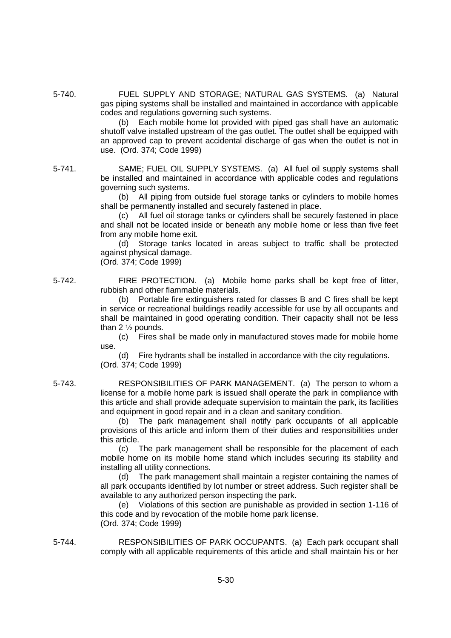5-740. FUEL SUPPLY AND STORAGE; NATURAL GAS SYSTEMS. (a) Natural gas piping systems shall be installed and maintained in accordance with applicable codes and regulations governing such systems.

> (b) Each mobile home lot provided with piped gas shall have an automatic shutoff valve installed upstream of the gas outlet. The outlet shall be equipped with an approved cap to prevent accidental discharge of gas when the outlet is not in use. (Ord. 374; Code 1999)

5-741. SAME; FUEL OIL SUPPLY SYSTEMS. (a) All fuel oil supply systems shall be installed and maintained in accordance with applicable codes and regulations governing such systems.

(b) All piping from outside fuel storage tanks or cylinders to mobile homes shall be permanently installed and securely fastened in place.

(c) All fuel oil storage tanks or cylinders shall be securely fastened in place and shall not be located inside or beneath any mobile home or less than five feet from any mobile home exit.

(d) Storage tanks located in areas subject to traffic shall be protected against physical damage.

(Ord. 374; Code 1999)

5-742. FIRE PROTECTION. (a) Mobile home parks shall be kept free of litter, rubbish and other flammable materials.

> (b) Portable fire extinguishers rated for classes B and C fires shall be kept in service or recreational buildings readily accessible for use by all occupants and shall be maintained in good operating condition. Their capacity shall not be less than  $2 \frac{1}{2}$  pounds.

> (c) Fires shall be made only in manufactured stoves made for mobile home use.

(d) Fire hydrants shall be installed in accordance with the city regulations. (Ord. 374; Code 1999)

5-743. RESPONSIBILITIES OF PARK MANAGEMENT. (a) The person to whom a license for a mobile home park is issued shall operate the park in compliance with this article and shall provide adequate supervision to maintain the park, its facilities and equipment in good repair and in a clean and sanitary condition.

(b) The park management shall notify park occupants of all applicable provisions of this article and inform them of their duties and responsibilities under this article.

(c) The park management shall be responsible for the placement of each mobile home on its mobile home stand which includes securing its stability and installing all utility connections.

(d) The park management shall maintain a register containing the names of all park occupants identified by lot number or street address. Such register shall be available to any authorized person inspecting the park.

(e) Violations of this section are punishable as provided in section 1-116 of this code and by revocation of the mobile home park license. (Ord. 374; Code 1999)

5-744. RESPONSIBILITIES OF PARK OCCUPANTS. (a) Each park occupant shall comply with all applicable requirements of this article and shall maintain his or her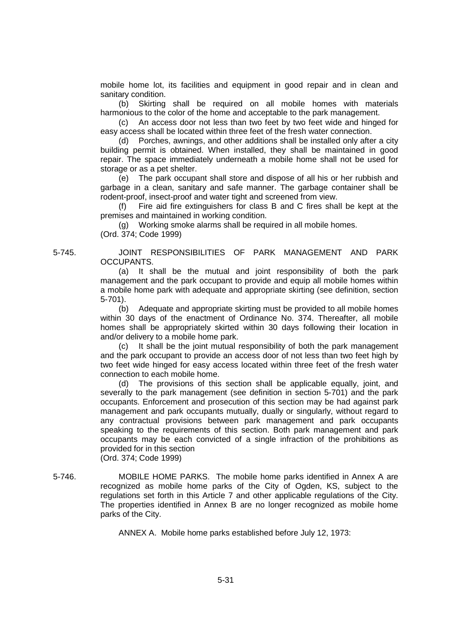mobile home lot, its facilities and equipment in good repair and in clean and sanitary condition.

(b) Skirting shall be required on all mobile homes with materials harmonious to the color of the home and acceptable to the park management.

(c) An access door not less than two feet by two feet wide and hinged for easy access shall be located within three feet of the fresh water connection.

(d) Porches, awnings, and other additions shall be installed only after a city building permit is obtained. When installed, they shall be maintained in good repair. The space immediately underneath a mobile home shall not be used for storage or as a pet shelter.

(e) The park occupant shall store and dispose of all his or her rubbish and garbage in a clean, sanitary and safe manner. The garbage container shall be rodent-proof, insect-proof and water tight and screened from view.

(f) Fire aid fire extinguishers for class B and C fires shall be kept at the premises and maintained in working condition.

(g) Working smoke alarms shall be required in all mobile homes. (Ord. 374; Code 1999)

5-745. JOINT RESPONSIBILITIES OF PARK MANAGEMENT AND PARK OCCUPANTS.

> (a) It shall be the mutual and joint responsibility of both the park management and the park occupant to provide and equip all mobile homes within a mobile home park with adequate and appropriate skirting (see definition, section 5-701).

> (b) Adequate and appropriate skirting must be provided to all mobile homes within 30 days of the enactment of Ordinance No. 374. Thereafter, all mobile homes shall be appropriately skirted within 30 days following their location in and/or delivery to a mobile home park.

> (c) It shall be the joint mutual responsibility of both the park management and the park occupant to provide an access door of not less than two feet high by two feet wide hinged for easy access located within three feet of the fresh water connection to each mobile home.

> (d) The provisions of this section shall be applicable equally, joint, and severally to the park management (see definition in section 5-701) and the park occupants. Enforcement and prosecution of this section may be had against park management and park occupants mutually, dually or singularly, without regard to any contractual provisions between park management and park occupants speaking to the requirements of this section. Both park management and park occupants may be each convicted of a single infraction of the prohibitions as provided for in this section

(Ord. 374; Code 1999)

5-746. MOBILE HOME PARKS. The mobile home parks identified in Annex A are recognized as mobile home parks of the City of Ogden, KS, subject to the regulations set forth in this Article 7 and other applicable regulations of the City. The properties identified in Annex B are no longer recognized as mobile home parks of the City.

ANNEX A. Mobile home parks established before July 12, 1973: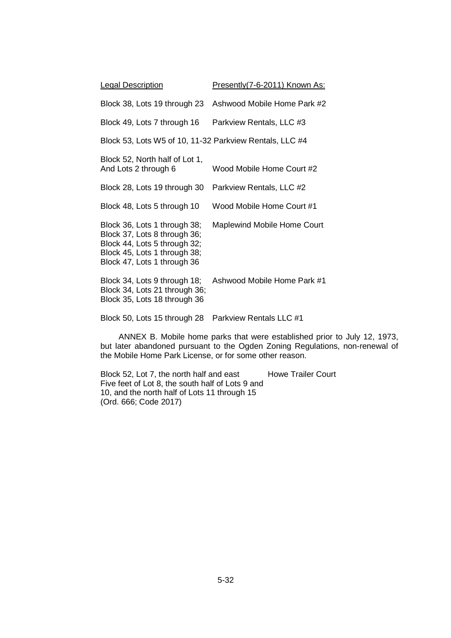| <b>Legal Description</b>                                                                                                                                    | Presently(7-6-2011) Known As: |  |  |
|-------------------------------------------------------------------------------------------------------------------------------------------------------------|-------------------------------|--|--|
| Block 38, Lots 19 through 23                                                                                                                                | Ashwood Mobile Home Park #2   |  |  |
| Block 49, Lots 7 through 16                                                                                                                                 | Parkview Rentals, LLC #3      |  |  |
| Block 53, Lots W5 of 10, 11-32 Parkview Rentals, LLC #4                                                                                                     |                               |  |  |
| Block 52, North half of Lot 1,<br>And Lots 2 through 6                                                                                                      | Wood Mobile Home Court #2     |  |  |
| Block 28, Lots 19 through 30                                                                                                                                | Parkview Rentals, LLC #2      |  |  |
| Block 48, Lots 5 through 10                                                                                                                                 | Wood Mobile Home Court #1     |  |  |
| Block 36, Lots 1 through 38;<br>Block 37, Lots 8 through 36;<br>Block 44, Lots 5 through 32;<br>Block 45, Lots 1 through 38;<br>Block 47, Lots 1 through 36 | Maplewind Mobile Home Court   |  |  |
| Block 34, Lots 9 through 18;<br>Block 34, Lots 21 through 36;<br>Block 35, Lots 18 through 36                                                               | Ashwood Mobile Home Park #1   |  |  |
| Block 50, Lots 15 through 28                                                                                                                                | Parkview Rentals LLC #1       |  |  |

ANNEX B. Mobile home parks that were established prior to July 12, 1973, but later abandoned pursuant to the Ogden Zoning Regulations, non-renewal of the Mobile Home Park License, or for some other reason.

Block 52, Lot 7, the north half and east Howe Trailer Court Five feet of Lot 8, the south half of Lots 9 and 10, and the north half of Lots 11 through 15 (Ord. 666; Code 2017)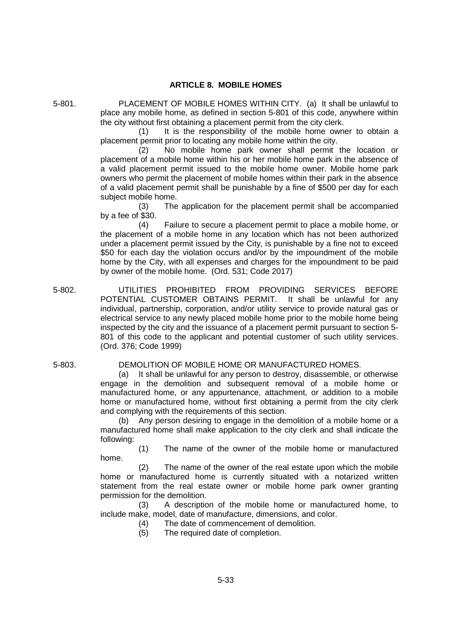# **ARTICLE 8. MOBILE HOMES**

5-801. PLACEMENT OF MOBILE HOMES WITHIN CITY. (a) It shall be unlawful to place any mobile home, as defined in section 5-801 of this code, anywhere within the city without first obtaining a placement permit from the city clerk.

(1) It is the responsibility of the mobile home owner to obtain a placement permit prior to locating any mobile home within the city.

(2) No mobile home park owner shall permit the location or placement of a mobile home within his or her mobile home park in the absence of a valid placement permit issued to the mobile home owner. Mobile home park owners who permit the placement of mobile homes within their park in the absence of a valid placement permit shall be punishable by a fine of \$500 per day for each subject mobile home.

(3) The application for the placement permit shall be accompanied by a fee of \$30.

(4) Failure to secure a placement permit to place a mobile home, or the placement of a mobile home in any location which has not been authorized under a placement permit issued by the City, is punishable by a fine not to exceed \$50 for each day the violation occurs and/or by the impoundment of the mobile home by the City, with all expenses and charges for the impoundment to be paid by owner of the mobile home. (Ord. 531; Code 2017)

5-802. UTILITIES PROHIBITED FROM PROVIDING SERVICES BEFORE POTENTIAL CUSTOMER OBTAINS PERMIT. It shall be unlawful for any individual, partnership, corporation, and/or utility service to provide natural gas or electrical service to any newly placed mobile home prior to the mobile home being inspected by the city and the issuance of a placement permit pursuant to section 5- 801 of this code to the applicant and potential customer of such utility services. (Ord. 376; Code 1999)

## 5-803. DEMOLITION OF MOBILE HOME OR MANUFACTURED HOMES.

(a) It shall be unlawful for any person to destroy, disassemble, or otherwise engage in the demolition and subsequent removal of a mobile home or manufactured home, or any appurtenance, attachment, or addition to a mobile home or manufactured home, without first obtaining a permit from the city clerk and complying with the requirements of this section.

Any person desiring to engage in the demolition of a mobile home or a manufactured home shall make application to the city clerk and shall indicate the following:

(1) The name of the owner of the mobile home or manufactured home.

(2) The name of the owner of the real estate upon which the mobile home or manufactured home is currently situated with a notarized written statement from the real estate owner or mobile home park owner granting permission for the demolition.

(3) A description of the mobile home or manufactured home, to include make, model, date of manufacture, dimensions, and color.

- (4) The date of commencement of demolition.
- (5) The required date of completion.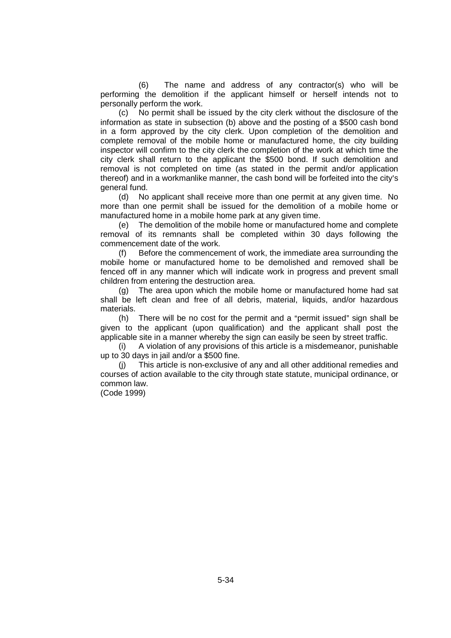(6) The name and address of any contractor(s) who will be performing the demolition if the applicant himself or herself intends not to personally perform the work.

(c) No permit shall be issued by the city clerk without the disclosure of the information as state in subsection (b) above and the posting of a \$500 cash bond in a form approved by the city clerk. Upon completion of the demolition and complete removal of the mobile home or manufactured home, the city building inspector will confirm to the city clerk the completion of the work at which time the city clerk shall return to the applicant the \$500 bond. If such demolition and removal is not completed on time (as stated in the permit and/or application thereof) and in a workmanlike manner, the cash bond will be forfeited into the city's general fund.

(d) No applicant shall receive more than one permit at any given time. No more than one permit shall be issued for the demolition of a mobile home or manufactured home in a mobile home park at any given time.

(e) The demolition of the mobile home or manufactured home and complete removal of its remnants shall be completed within 30 days following the commencement date of the work.

(f) Before the commencement of work, the immediate area surrounding the mobile home or manufactured home to be demolished and removed shall be fenced off in any manner which will indicate work in progress and prevent small children from entering the destruction area.

(g) The area upon which the mobile home or manufactured home had sat shall be left clean and free of all debris, material, liquids, and/or hazardous materials.

(h) There will be no cost for the permit and a "permit issued" sign shall be given to the applicant (upon qualification) and the applicant shall post the applicable site in a manner whereby the sign can easily be seen by street traffic.

(i) A violation of any provisions of this article is a misdemeanor, punishable up to 30 days in jail and/or a \$500 fine.

(j) This article is non-exclusive of any and all other additional remedies and courses of action available to the city through state statute, municipal ordinance, or common law.

(Code 1999)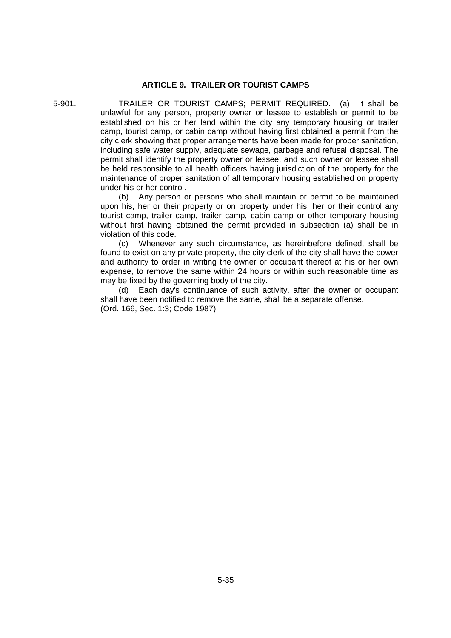#### **ARTICLE 9. TRAILER OR TOURIST CAMPS**

5-901. TRAILER OR TOURIST CAMPS; PERMIT REQUIRED. (a) It shall be unlawful for any person, property owner or lessee to establish or permit to be established on his or her land within the city any temporary housing or trailer camp, tourist camp, or cabin camp without having first obtained a permit from the city clerk showing that proper arrangements have been made for proper sanitation, including safe water supply, adequate sewage, garbage and refusal disposal. The permit shall identify the property owner or lessee, and such owner or lessee shall be held responsible to all health officers having jurisdiction of the property for the maintenance of proper sanitation of all temporary housing established on property under his or her control.

> (b) Any person or persons who shall maintain or permit to be maintained upon his, her or their property or on property under his, her or their control any tourist camp, trailer camp, trailer camp, cabin camp or other temporary housing without first having obtained the permit provided in subsection (a) shall be in violation of this code.

> (c) Whenever any such circumstance, as hereinbefore defined, shall be found to exist on any private property, the city clerk of the city shall have the power and authority to order in writing the owner or occupant thereof at his or her own expense, to remove the same within 24 hours or within such reasonable time as may be fixed by the governing body of the city.

> (d) Each day's continuance of such activity, after the owner or occupant shall have been notified to remove the same, shall be a separate offense. (Ord. 166, Sec. 1:3; Code 1987)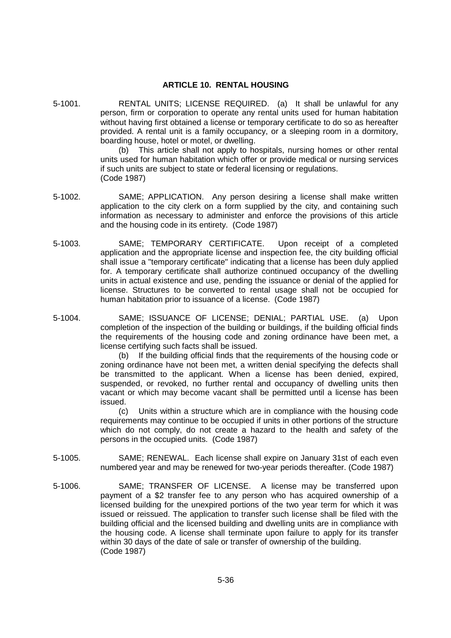#### **ARTICLE 10. RENTAL HOUSING**

5-1001. RENTAL UNITS; LICENSE REQUIRED. (a) It shall be unlawful for any person, firm or corporation to operate any rental units used for human habitation without having first obtained a license or temporary certificate to do so as hereafter provided. A rental unit is a family occupancy, or a sleeping room in a dormitory, boarding house, hotel or motel, or dwelling.

(b) This article shall not apply to hospitals, nursing homes or other rental units used for human habitation which offer or provide medical or nursing services if such units are subject to state or federal licensing or regulations. (Code 1987)

- 5-1002. SAME; APPLICATION. Any person desiring a license shall make written application to the city clerk on a form supplied by the city, and containing such information as necessary to administer and enforce the provisions of this article and the housing code in its entirety. (Code 1987)
- 5-1003. SAME; TEMPORARY CERTIFICATE. Upon receipt of a completed application and the appropriate license and inspection fee, the city building official shall issue a "temporary certificate" indicating that a license has been duly applied for. A temporary certificate shall authorize continued occupancy of the dwelling units in actual existence and use, pending the issuance or denial of the applied for license. Structures to be converted to rental usage shall not be occupied for human habitation prior to issuance of a license. (Code 1987)
- 5-1004. SAME; ISSUANCE OF LICENSE; DENIAL; PARTIAL USE. (a) Upon completion of the inspection of the building or buildings, if the building official finds the requirements of the housing code and zoning ordinance have been met, a license certifying such facts shall be issued.

(b) If the building official finds that the requirements of the housing code or zoning ordinance have not been met, a written denial specifying the defects shall be transmitted to the applicant. When a license has been denied, expired, suspended, or revoked, no further rental and occupancy of dwelling units then vacant or which may become vacant shall be permitted until a license has been issued.

(c) Units within a structure which are in compliance with the housing code requirements may continue to be occupied if units in other portions of the structure which do not comply, do not create a hazard to the health and safety of the persons in the occupied units. (Code 1987)

- 5-1005. SAME; RENEWAL. Each license shall expire on January 31st of each even numbered year and may be renewed for two-year periods thereafter. (Code 1987)
- 5-1006. SAME; TRANSFER OF LICENSE. A license may be transferred upon payment of a \$2 transfer fee to any person who has acquired ownership of a licensed building for the unexpired portions of the two year term for which it was issued or reissued. The application to transfer such license shall be filed with the building official and the licensed building and dwelling units are in compliance with the housing code. A license shall terminate upon failure to apply for its transfer within 30 days of the date of sale or transfer of ownership of the building. (Code 1987)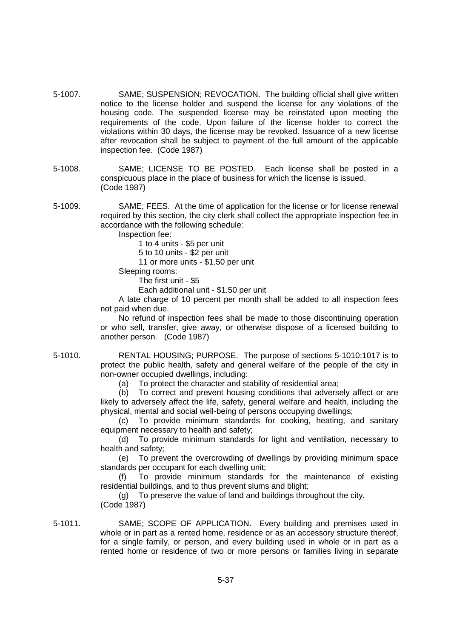- 5-1007. SAME; SUSPENSION; REVOCATION. The building official shall give written notice to the license holder and suspend the license for any violations of the housing code. The suspended license may be reinstated upon meeting the requirements of the code. Upon failure of the license holder to correct the violations within 30 days, the license may be revoked. Issuance of a new license after revocation shall be subject to payment of the full amount of the applicable inspection fee. (Code 1987)
- 5-1008. SAME; LICENSE TO BE POSTED. Each license shall be posted in a conspicuous place in the place of business for which the license is issued. (Code 1987)
- 5-1009. SAME; FEES. At the time of application for the license or for license renewal required by this section, the city clerk shall collect the appropriate inspection fee in accordance with the following schedule:

Inspection fee:

1 to 4 units - \$5 per unit

5 to 10 units - \$2 per unit

11 or more units - \$1.50 per unit

Sleeping rooms:

The first unit - \$5

Each additional unit - \$1.50 per unit

A late charge of 10 percent per month shall be added to all inspection fees not paid when due.

No refund of inspection fees shall be made to those discontinuing operation or who sell, transfer, give away, or otherwise dispose of a licensed building to another person. (Code 1987)

5-1010. RENTAL HOUSING; PURPOSE. The purpose of sections 5-1010:1017 is to protect the public health, safety and general welfare of the people of the city in non-owner occupied dwellings, including:

(a) To protect the character and stability of residential area;

(b) To correct and prevent housing conditions that adversely affect or are likely to adversely affect the life, safety, general welfare and health, including the physical, mental and social well-being of persons occupying dwellings;

(c) To provide minimum standards for cooking, heating, and sanitary equipment necessary to health and safety;

(d) To provide minimum standards for light and ventilation, necessary to health and safety;

(e) To prevent the overcrowding of dwellings by providing minimum space standards per occupant for each dwelling unit;

(f) To provide minimum standards for the maintenance of existing residential buildings, and to thus prevent slums and blight;

(g) To preserve the value of land and buildings throughout the city. (Code 1987)

5-1011. SAME; SCOPE OF APPLICATION. Every building and premises used in whole or in part as a rented home, residence or as an accessory structure thereof, for a single family, or person, and every building used in whole or in part as a rented home or residence of two or more persons or families living in separate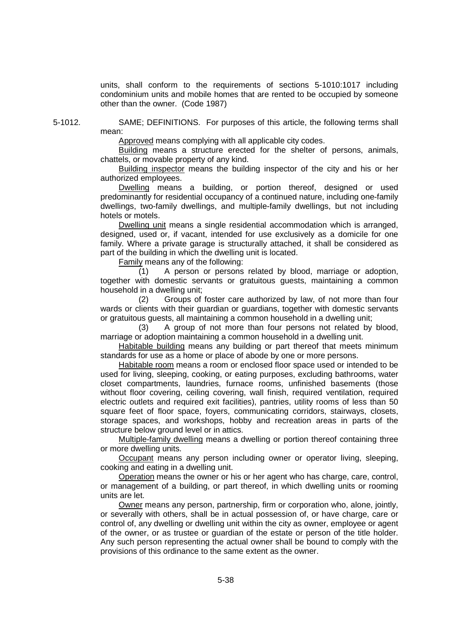units, shall conform to the requirements of sections 5-1010:1017 including condominium units and mobile homes that are rented to be occupied by someone other than the owner. (Code 1987)

5-1012. SAME; DEFINITIONS. For purposes of this article, the following terms shall mean:

Approved means complying with all applicable city codes.

Building means a structure erected for the shelter of persons, animals, chattels, or movable property of any kind.

Building inspector means the building inspector of the city and his or her authorized employees.

Dwelling means a building, or portion thereof, designed or used predominantly for residential occupancy of a continued nature, including one-family dwellings, two-family dwellings, and multiple-family dwellings, but not including hotels or motels.

Dwelling unit means a single residential accommodation which is arranged, designed, used or, if vacant, intended for use exclusively as a domicile for one family. Where a private garage is structurally attached, it shall be considered as part of the building in which the dwelling unit is located.

Family means any of the following:

(1) A person or persons related by blood, marriage or adoption, together with domestic servants or gratuitous guests, maintaining a common household in a dwelling unit;

(2) Groups of foster care authorized by law, of not more than four wards or clients with their guardian or guardians, together with domestic servants or gratuitous guests, all maintaining a common household in a dwelling unit;

(3) A group of not more than four persons not related by blood, marriage or adoption maintaining a common household in a dwelling unit.

Habitable building means any building or part thereof that meets minimum standards for use as a home or place of abode by one or more persons.

Habitable room means a room or enclosed floor space used or intended to be used for living, sleeping, cooking, or eating purposes, excluding bathrooms, water closet compartments, laundries, furnace rooms, unfinished basements (those without floor covering, ceiling covering, wall finish, required ventilation, required electric outlets and required exit facilities), pantries, utility rooms of less than 50 square feet of floor space, foyers, communicating corridors, stairways, closets, storage spaces, and workshops, hobby and recreation areas in parts of the structure below ground level or in attics.

Multiple-family dwelling means a dwelling or portion thereof containing three or more dwelling units.

Occupant means any person including owner or operator living, sleeping, cooking and eating in a dwelling unit.

Operation means the owner or his or her agent who has charge, care, control, or management of a building, or part thereof, in which dwelling units or rooming units are let.

Owner means any person, partnership, firm or corporation who, alone, jointly, or severally with others, shall be in actual possession of, or have charge, care or control of, any dwelling or dwelling unit within the city as owner, employee or agent of the owner, or as trustee or guardian of the estate or person of the title holder. Any such person representing the actual owner shall be bound to comply with the provisions of this ordinance to the same extent as the owner.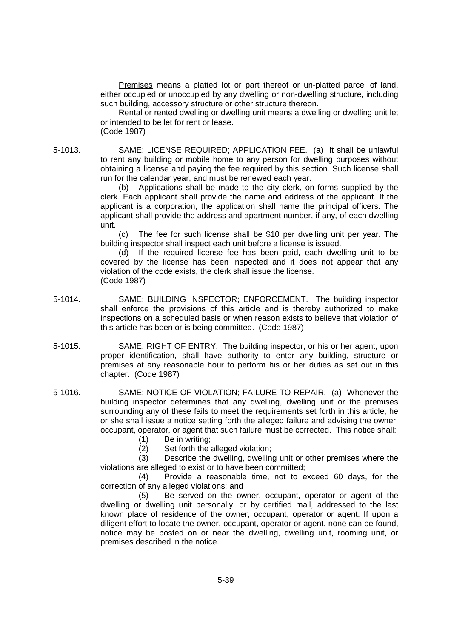Premises means a platted lot or part thereof or un-platted parcel of land, either occupied or unoccupied by any dwelling or non-dwelling structure, including such building, accessory structure or other structure thereon.

Rental or rented dwelling or dwelling unit means a dwelling or dwelling unit let or intended to be let for rent or lease. (Code 1987)

5-1013. SAME; LICENSE REQUIRED; APPLICATION FEE. (a) It shall be unlawful to rent any building or mobile home to any person for dwelling purposes without obtaining a license and paying the fee required by this section. Such license shall run for the calendar year, and must be renewed each year.

(b) Applications shall be made to the city clerk, on forms supplied by the clerk. Each applicant shall provide the name and address of the applicant. If the applicant is a corporation, the application shall name the principal officers. The applicant shall provide the address and apartment number, if any, of each dwelling unit.

(c) The fee for such license shall be \$10 per dwelling unit per year. The building inspector shall inspect each unit before a license is issued.

(d) If the required license fee has been paid, each dwelling unit to be covered by the license has been inspected and it does not appear that any violation of the code exists, the clerk shall issue the license. (Code 1987)

- 5-1014. SAME; BUILDING INSPECTOR; ENFORCEMENT. The building inspector shall enforce the provisions of this article and is thereby authorized to make inspections on a scheduled basis or when reason exists to believe that violation of this article has been or is being committed. (Code 1987)
- 5-1015. SAME; RIGHT OF ENTRY. The building inspector, or his or her agent, upon proper identification, shall have authority to enter any building, structure or premises at any reasonable hour to perform his or her duties as set out in this chapter. (Code 1987)
- 5-1016. SAME; NOTICE OF VIOLATION; FAILURE TO REPAIR. (a) Whenever the building inspector determines that any dwelling, dwelling unit or the premises surrounding any of these fails to meet the requirements set forth in this article, he or she shall issue a notice setting forth the alleged failure and advising the owner, occupant, operator, or agent that such failure must be corrected. This notice shall:
	- (1) Be in writing;
	- (2) Set forth the alleged violation;

(3) Describe the dwelling, dwelling unit or other premises where the violations are alleged to exist or to have been committed;

(4) Provide a reasonable time, not to exceed 60 days, for the correction of any alleged violations; and

(5) Be served on the owner, occupant, operator or agent of the dwelling or dwelling unit personally, or by certified mail, addressed to the last known place of residence of the owner, occupant, operator or agent. If upon a diligent effort to locate the owner, occupant, operator or agent, none can be found, notice may be posted on or near the dwelling, dwelling unit, rooming unit, or premises described in the notice.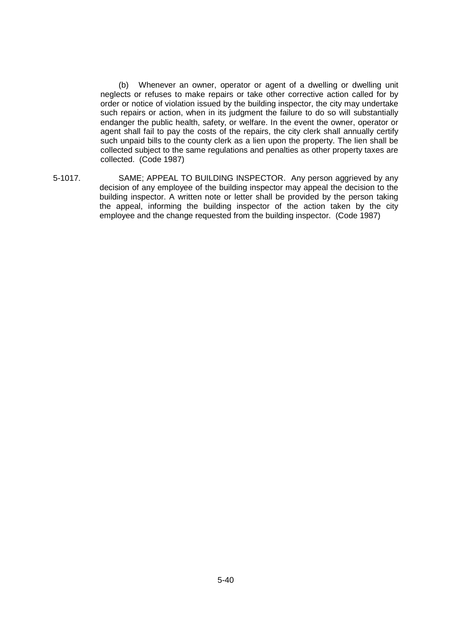(b) Whenever an owner, operator or agent of a dwelling or dwelling unit neglects or refuses to make repairs or take other corrective action called for by order or notice of violation issued by the building inspector, the city may undertake such repairs or action, when in its judgment the failure to do so will substantially endanger the public health, safety, or welfare. In the event the owner, operator or agent shall fail to pay the costs of the repairs, the city clerk shall annually certify such unpaid bills to the county clerk as a lien upon the property. The lien shall be collected subject to the same regulations and penalties as other property taxes are collected. (Code 1987)

5-1017. SAME; APPEAL TO BUILDING INSPECTOR. Any person aggrieved by any decision of any employee of the building inspector may appeal the decision to the building inspector. A written note or letter shall be provided by the person taking the appeal, informing the building inspector of the action taken by the city employee and the change requested from the building inspector. (Code 1987)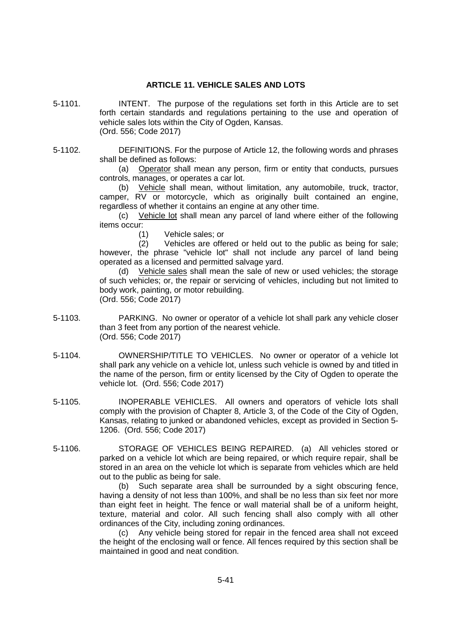# **ARTICLE 11. VEHICLE SALES AND LOTS**

- 5-1101. INTENT. The purpose of the regulations set forth in this Article are to set forth certain standards and regulations pertaining to the use and operation of vehicle sales lots within the City of Ogden, Kansas. (Ord. 556; Code 2017)
- 5-1102. DEFINITIONS. For the purpose of Article 12, the following words and phrases shall be defined as follows:

(a) Operator shall mean any person, firm or entity that conducts, pursues controls, manages, or operates a car lot.

(b) Vehicle shall mean, without limitation, any automobile, truck, tractor, camper, RV or motorcycle, which as originally built contained an engine, regardless of whether it contains an engine at any other time.

(c) Vehicle lot shall mean any parcel of land where either of the following items occur:

(1) Vehicle sales; or

(2) Vehicles are offered or held out to the public as being for sale; however, the phrase "vehicle lot" shall not include any parcel of land being operated as a licensed and permitted salvage yard.

(d) Vehicle sales shall mean the sale of new or used vehicles; the storage of such vehicles; or, the repair or servicing of vehicles, including but not limited to body work, painting, or motor rebuilding. (Ord. 556; Code 2017)

- 5-1103. PARKING. No owner or operator of a vehicle lot shall park any vehicle closer than 3 feet from any portion of the nearest vehicle. (Ord. 556; Code 2017)
- 5-1104. OWNERSHIP/TITLE TO VEHICLES. No owner or operator of a vehicle lot shall park any vehicle on a vehicle lot, unless such vehicle is owned by and titled in the name of the person, firm or entity licensed by the City of Ogden to operate the vehicle lot. (Ord. 556; Code 2017)
- 5-1105. INOPERABLE VEHICLES. All owners and operators of vehicle lots shall comply with the provision of Chapter 8, Article 3, of the Code of the City of Ogden, Kansas, relating to junked or abandoned vehicles, except as provided in Section 5- 1206. (Ord. 556; Code 2017)
- 5-1106. STORAGE OF VEHICLES BEING REPAIRED. (a) All vehicles stored or parked on a vehicle lot which are being repaired, or which require repair, shall be stored in an area on the vehicle lot which is separate from vehicles which are held out to the public as being for sale.

(b) Such separate area shall be surrounded by a sight obscuring fence, having a density of not less than 100%, and shall be no less than six feet nor more than eight feet in height. The fence or wall material shall be of a uniform height, texture, material and color. All such fencing shall also comply with all other ordinances of the City, including zoning ordinances.

(c) Any vehicle being stored for repair in the fenced area shall not exceed the height of the enclosing wall or fence. All fences required by this section shall be maintained in good and neat condition.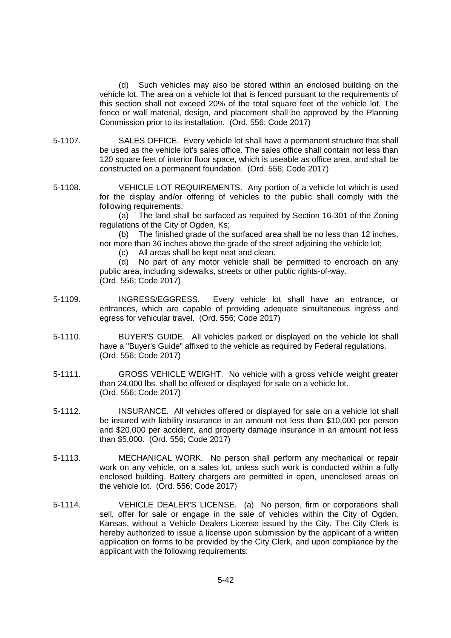(d) Such vehicles may also be stored within an enclosed building on the vehicle lot. The area on a vehicle lot that is fenced pursuant to the requirements of this section shall not exceed 20% of the total square feet of the vehicle lot. The fence or wall material, design, and placement shall be approved by the Planning Commission prior to its installation. (Ord. 556; Code 2017)

- 5-1107. SALES OFFICE. Every vehicle lot shall have a permanent structure that shall be used as the vehicle lot's sales office. The sales office shall contain not less than 120 square feet of interior floor space, which is useable as office area, and shall be constructed on a permanent foundation. (Ord. 556; Code 2017)
- 5-1108. VEHICLE LOT REQUIREMENTS. Any portion of a vehicle lot which is used for the display and/or offering of vehicles to the public shall comply with the following requirements:

(a) The land shall be surfaced as required by Section 16-301 of the Zoning regulations of the City of Ogden, Ks;

(b) The finished grade of the surfaced area shall be no less than 12 inches, nor more than 36 inches above the grade of the street adjoining the vehicle lot;

(c) All areas shall be kept neat and clean.

(d) No part of any motor vehicle shall be permitted to encroach on any public area, including sidewalks, streets or other public rights-of-way. (Ord. 556; Code 2017)

- 5-1109. INGRESS/EGGRESS. Every vehicle lot shall have an entrance, or entrances, which are capable of providing adequate simultaneous ingress and egress for vehicular travel. (Ord. 556; Code 2017)
- 5-1110. BUYER'S GUIDE. All vehicles parked or displayed on the vehicle lot shall have a "Buyer's Guide" affixed to the vehicle as required by Federal regulations. (Ord. 556; Code 2017)
- 5-1111. GROSS VEHICLE WEIGHT. No vehicle with a gross vehicle weight greater than 24,000 lbs. shall be offered or displayed for sale on a vehicle lot. (Ord. 556; Code 2017)
- 5-1112. INSURANCE. All vehicles offered or displayed for sale on a vehicle lot shall be insured with liability insurance in an amount not less than \$10,000 per person and \$20,000 per accident, and property damage insurance in an amount not less than \$5,000. (Ord. 556; Code 2017)
- 5-1113. MECHANICAL WORK. No person shall perform any mechanical or repair work on any vehicle, on a sales lot, unless such work is conducted within a fully enclosed building. Battery chargers are permitted in open, unenclosed areas on the vehicle lot. (Ord. 556; Code 2017)
- 5-1114. VEHICLE DEALER'S LICENSE. (a) No person, firm or corporations shall sell, offer for sale or engage in the sale of vehicles within the City of Ogden, Kansas, without a Vehicle Dealers License issued by the City. The City Clerk is hereby authorized to issue a license upon submission by the applicant of a written application on forms to be provided by the City Clerk, and upon compliance by the applicant with the following requirements: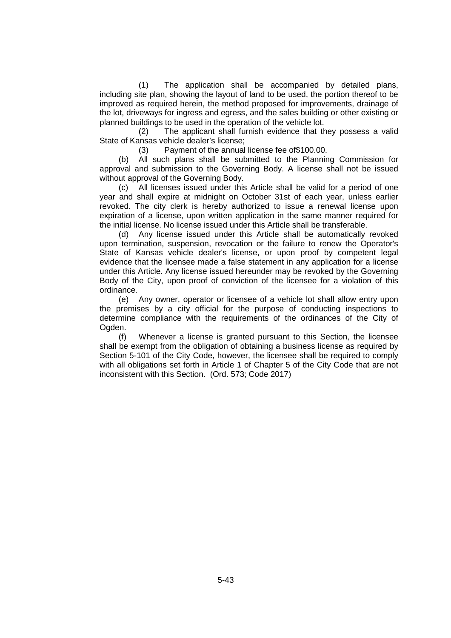(1) The application shall be accompanied by detailed plans, including site plan, showing the layout of land to be used, the portion thereof to be improved as required herein, the method proposed for improvements, drainage of the lot, driveways for ingress and egress, and the sales building or other existing or planned buildings to be used in the operation of the vehicle lot.

(2) The applicant shall furnish evidence that they possess a valid State of Kansas vehicle dealer's license;

(3) Payment of the annual license fee of\$100.00.

(b) All such plans shall be submitted to the Planning Commission for approval and submission to the Governing Body. A license shall not be issued without approval of the Governing Body.

(c) All licenses issued under this Article shall be valid for a period of one year and shall expire at midnight on October 31st of each year, unless earlier revoked. The city clerk is hereby authorized to issue a renewal license upon expiration of a license, upon written application in the same manner required for the initial license. No license issued under this Article shall be transferable.

(d) Any license issued under this Article shall be automatically revoked upon termination, suspension, revocation or the failure to renew the Operator's State of Kansas vehicle dealer's license, or upon proof by competent legal evidence that the licensee made a false statement in any application for a license under this Article. Any license issued hereunder may be revoked by the Governing Body of the City, upon proof of conviction of the licensee for a violation of this ordinance.

(e) Any owner, operator or licensee of a vehicle lot shall allow entry upon the premises by a city official for the purpose of conducting inspections to determine compliance with the requirements of the ordinances of the City of Ogden.

(f) Whenever a license is granted pursuant to this Section, the licensee shall be exempt from the obligation of obtaining a business license as required by Section 5-101 of the City Code, however, the licensee shall be required to comply with all obligations set forth in Article 1 of Chapter 5 of the City Code that are not inconsistent with this Section. (Ord. 573; Code 2017)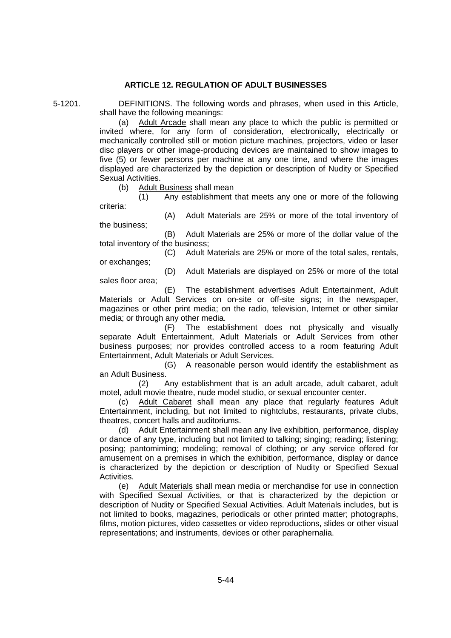# **ARTICLE 12. REGULATION OF ADULT BUSINESSES**

5-1201. DEFINITIONS. The following words and phrases, when used in this Article, shall have the following meanings:

(a) Adult Arcade shall mean any place to which the public is permitted or invited where, for any form of consideration, electronically, electrically or mechanically controlled still or motion picture machines, projectors, video or laser disc players or other image-producing devices are maintained to show images to five (5) or fewer persons per machine at any one time, and where the images displayed are characterized by the depiction or description of Nudity or Specified Sexual Activities.

(b) Adult Business shall mean

(1) Any establishment that meets any one or more of the following criteria:

(A) Adult Materials are 25% or more of the total inventory of the business;

(B) Adult Materials are 25% or more of the dollar value of the total inventory of the business;

(C) Adult Materials are 25% or more of the total sales, rentals, or exchanges;

sales floor area;

(D) Adult Materials are displayed on 25% or more of the total

(E) The establishment advertises Adult Entertainment, Adult Materials or Adult Services on on-site or off-site signs; in the newspaper, magazines or other print media; on the radio, television, Internet or other similar media; or through any other media.

(F) The establishment does not physically and visually separate Adult Entertainment, Adult Materials or Adult Services from other business purposes; nor provides controlled access to a room featuring Adult Entertainment, Adult Materials or Adult Services.

(G) A reasonable person would identify the establishment as an Adult Business.

(2) Any establishment that is an adult arcade, adult cabaret, adult motel, adult movie theatre, nude model studio, or sexual encounter center.

Adult Cabaret shall mean any place that regularly features Adult Entertainment, including, but not limited to nightclubs, restaurants, private clubs, theatres, concert halls and auditoriums.

(d) Adult Entertainment shall mean any live exhibition, performance, display or dance of any type, including but not limited to talking; singing; reading; listening; posing; pantomiming; modeling; removal of clothing; or any service offered for amusement on a premises in which the exhibition, performance, display or dance is characterized by the depiction or description of Nudity or Specified Sexual Activities.

(e) Adult Materials shall mean media or merchandise for use in connection with Specified Sexual Activities, or that is characterized by the depiction or description of Nudity or Specified Sexual Activities. Adult Materials includes, but is not limited to books, magazines, periodicals or other printed matter; photographs, films, motion pictures, video cassettes or video reproductions, slides or other visual representations; and instruments, devices or other paraphernalia.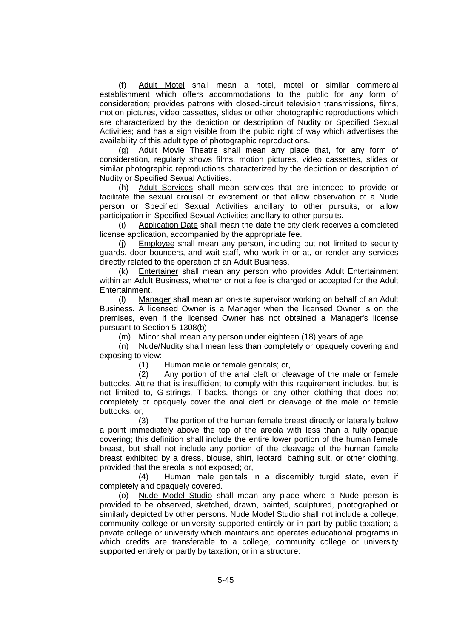(f) Adult Motel shall mean a hotel, motel or similar commercial establishment which offers accommodations to the public for any form of consideration; provides patrons with closed-circuit television transmissions, films, motion pictures, video cassettes, slides or other photographic reproductions which are characterized by the depiction or description of Nudity or Specified Sexual Activities; and has a sign visible from the public right of way which advertises the availability of this adult type of photographic reproductions.

(g) Adult Movie Theatre shall mean any place that, for any form of consideration, regularly shows films, motion pictures, video cassettes, slides or similar photographic reproductions characterized by the depiction or description of Nudity or Specified Sexual Activities.

(h) Adult Services shall mean services that are intended to provide or facilitate the sexual arousal or excitement or that allow observation of a Nude person or Specified Sexual Activities ancillary to other pursuits, or allow participation in Specified Sexual Activities ancillary to other pursuits.

(i) Application Date shall mean the date the city clerk receives a completed license application, accompanied by the appropriate fee.

(j) Employee shall mean any person, including but not limited to security guards, door bouncers, and wait staff, who work in or at, or render any services directly related to the operation of an Adult Business.

(k) Entertainer shall mean any person who provides Adult Entertainment within an Adult Business, whether or not a fee is charged or accepted for the Adult Entertainment.

(l) Manager shall mean an on-site supervisor working on behalf of an Adult Business. A licensed Owner is a Manager when the licensed Owner is on the premises, even if the licensed Owner has not obtained a Manager's license pursuant to Section 5-1308(b).

(m) Minor shall mean any person under eighteen (18) years of age.

(n) Nude/Nudity shall mean less than completely or opaquely covering and exposing to view:

(1) Human male or female genitals; or,

(2) Any portion of the anal cleft or cleavage of the male or female buttocks. Attire that is insufficient to comply with this requirement includes, but is not limited to, G-strings, T-backs, thongs or any other clothing that does not completely or opaquely cover the anal cleft or cleavage of the male or female buttocks; or,

(3) The portion of the human female breast directly or laterally below a point immediately above the top of the areola with less than a fully opaque covering; this definition shall include the entire lower portion of the human female breast, but shall not include any portion of the cleavage of the human female breast exhibited by a dress, blouse, shirt, leotard, bathing suit, or other clothing, provided that the areola is not exposed; or,

(4) Human male genitals in a discernibly turgid state, even if completely and opaquely covered.

(o) Nude Model Studio shall mean any place where a Nude person is provided to be observed, sketched, drawn, painted, sculptured, photographed or similarly depicted by other persons. Nude Model Studio shall not include a college, community college or university supported entirely or in part by public taxation; a private college or university which maintains and operates educational programs in which credits are transferable to a college, community college or university supported entirely or partly by taxation; or in a structure: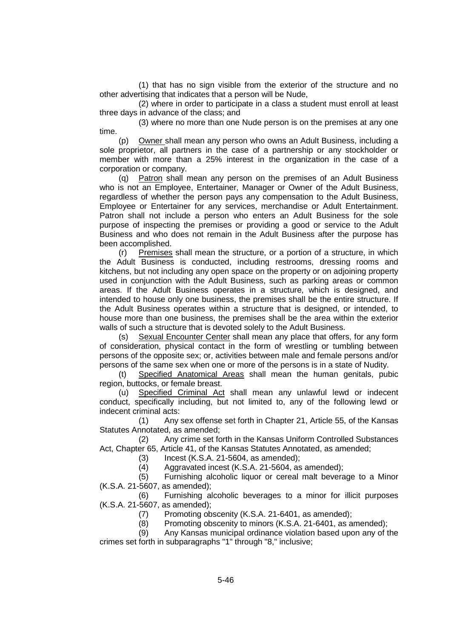(1) that has no sign visible from the exterior of the structure and no other advertising that indicates that a person will be Nude,

(2) where in order to participate in a class a student must enroll at least three days in advance of the class; and

(3) where no more than one Nude person is on the premises at any one time.

(p) Owner shall mean any person who owns an Adult Business, including a sole proprietor, all partners in the case of a partnership or any stockholder or member with more than a 25% interest in the organization in the case of a corporation or company.

(q) Patron shall mean any person on the premises of an Adult Business who is not an Employee, Entertainer, Manager or Owner of the Adult Business, regardless of whether the person pays any compensation to the Adult Business, Employee or Entertainer for any services, merchandise or Adult Entertainment. Patron shall not include a person who enters an Adult Business for the sole purpose of inspecting the premises or providing a good or service to the Adult Business and who does not remain in the Adult Business after the purpose has been accomplished.

(r) Premises shall mean the structure, or a portion of a structure, in which the Adult Business is conducted, including restrooms, dressing rooms and kitchens, but not including any open space on the property or on adjoining property used in conjunction with the Adult Business, such as parking areas or common areas. If the Adult Business operates in a structure, which is designed, and intended to house only one business, the premises shall be the entire structure. If the Adult Business operates within a structure that is designed, or intended, to house more than one business, the premises shall be the area within the exterior walls of such a structure that is devoted solely to the Adult Business.

(s) Sexual Encounter Center shall mean any place that offers, for any form of consideration, physical contact in the form of wrestling or tumbling between persons of the opposite sex; or, activities between male and female persons and/or persons of the same sex when one or more of the persons is in a state of Nudity.

(t) Specified Anatomical Areas shall mean the human genitals, pubic region, buttocks, or female breast.

(u) Specified Criminal Act shall mean any unlawful lewd or indecent conduct, specifically including, but not limited to, any of the following lewd or indecent criminal acts:

(1) Any sex offense set forth in Chapter 21, Article 55, of the Kansas Statutes Annotated, as amended;

(2) Any crime set forth in the Kansas Uniform Controlled Substances Act, Chapter 65, Article 41, of the Kansas Statutes Annotated, as amended;

(3) Incest (K.S.A. 21-5604, as amended);

(4) Aggravated incest (K.S.A. 21-5604, as amended);

(5) Furnishing alcoholic liquor or cereal malt beverage to a Minor (K.S.A. 21-5607, as amended);

(6) Furnishing alcoholic beverages to a minor for illicit purposes (K.S.A. 21-5607, as amended);

(7) Promoting obscenity (K.S.A. 21-6401, as amended);

(8) Promoting obscenity to minors (K.S.A. 21-6401, as amended);

(9) Any Kansas municipal ordinance violation based upon any of the crimes set forth in subparagraphs "1" through "8," inclusive;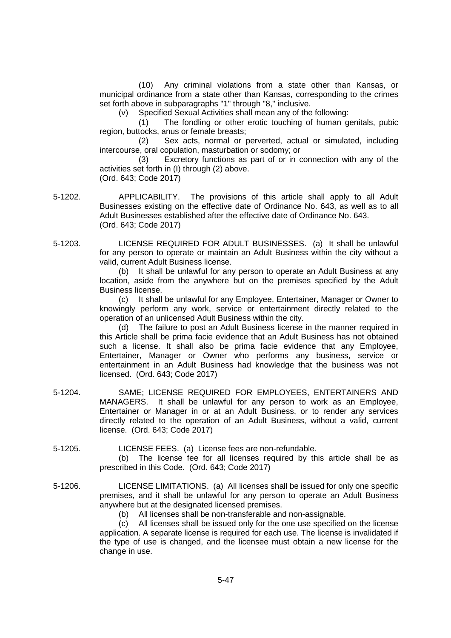(10) Any criminal violations from a state other than Kansas, or municipal ordinance from a state other than Kansas, corresponding to the crimes set forth above in subparagraphs "1" through "8," inclusive.

(v) Specified Sexual Activities shall mean any of the following:

(1) The fondling or other erotic touching of human genitals, pubic region, buttocks, anus or female breasts;

(2) Sex acts, normal or perverted, actual or simulated, including intercourse, oral copulation, masturbation or sodomy; or

(3) Excretory functions as part of or in connection with any of the activities set forth in (I) through (2) above. (Ord. 643; Code 2017)

5-1202. APPLICABILITY. The provisions of this article shall apply to all Adult Businesses existing on the effective date of Ordinance No. 643, as well as to all Adult Businesses established after the effective date of Ordinance No. 643. (Ord. 643; Code 2017)

5-1203. LICENSE REQUIRED FOR ADULT BUSINESSES. (a) It shall be unlawful for any person to operate or maintain an Adult Business within the city without a valid, current Adult Business license.

> (b) It shall be unlawful for any person to operate an Adult Business at any location, aside from the anywhere but on the premises specified by the Adult Business license.

> (c) It shall be unlawful for any Employee, Entertainer, Manager or Owner to knowingly perform any work, service or entertainment directly related to the operation of an unlicensed Adult Business within the city.

> (d) The failure to post an Adult Business license in the manner required in this Article shall be prima facie evidence that an Adult Business has not obtained such a license. It shall also be prima facie evidence that any Employee, Entertainer, Manager or Owner who performs any business, service or entertainment in an Adult Business had knowledge that the business was not licensed. (Ord. 643; Code 2017)

- 5-1204. SAME; LICENSE REQUIRED FOR EMPLOYEES, ENTERTAINERS AND MANAGERS. It shall be unlawful for any person to work as an Employee, Entertainer or Manager in or at an Adult Business, or to render any services directly related to the operation of an Adult Business, without a valid, current license. (Ord. 643; Code 2017)
- 5-1205. LICENSE FEES. (a) License fees are non-refundable.

(b) The license fee for all licenses required by this article shall be as prescribed in this Code. (Ord. 643; Code 2017)

5-1206. LICENSE LIMITATIONS. (a) All licenses shall be issued for only one specific premises, and it shall be unlawful for any person to operate an Adult Business anywhere but at the designated licensed premises.

(b) All licenses shall be non-transferable and non-assignable.

(c) All licenses shall be issued only for the one use specified on the license application. A separate license is required for each use. The license is invalidated if the type of use is changed, and the licensee must obtain a new license for the change in use.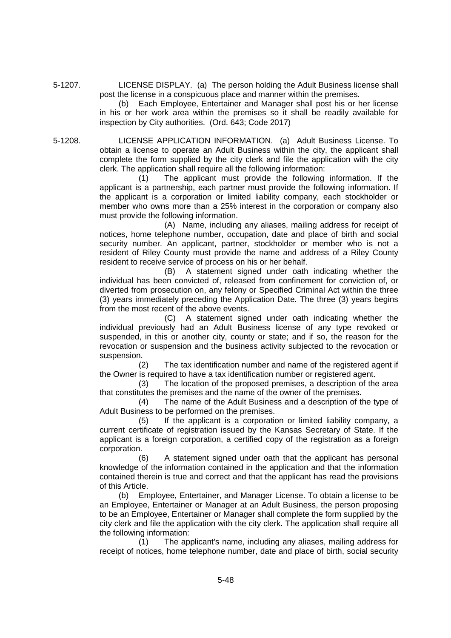5-1207. LICENSE DISPLAY. (a) The person holding the Adult Business license shall post the license in a conspicuous place and manner within the premises.

(b) Each Employee, Entertainer and Manager shall post his or her license in his or her work area within the premises so it shall be readily available for inspection by City authorities. (Ord. 643; Code 2017)

5-1208. LICENSE APPLICATION INFORMATION. (a) Adult Business License. To obtain a license to operate an Adult Business within the city, the applicant shall complete the form supplied by the city clerk and file the application with the city clerk. The application shall require all the following information:

(1) The applicant must provide the following information. If the applicant is a partnership, each partner must provide the following information. If the applicant is a corporation or limited liability company, each stockholder or member who owns more than a 25% interest in the corporation or company also must provide the following information.

(A) Name, including any aliases, mailing address for receipt of notices, home telephone number, occupation, date and place of birth and social security number. An applicant, partner, stockholder or member who is not a resident of Riley County must provide the name and address of a Riley County resident to receive service of process on his or her behalf.

(B) A statement signed under oath indicating whether the individual has been convicted of, released from confinement for conviction of, or diverted from prosecution on, any felony or Specified Criminal Act within the three (3) years immediately preceding the Application Date. The three (3) years begins from the most recent of the above events.

(C) A statement signed under oath indicating whether the individual previously had an Adult Business license of any type revoked or suspended, in this or another city, county or state; and if so, the reason for the revocation or suspension and the business activity subjected to the revocation or suspension.

(2) The tax identification number and name of the registered agent if the Owner is required to have a tax identification number or registered agent.

(3) The location of the proposed premises, a description of the area that constitutes the premises and the name of the owner of the premises.

(4) The name of the Adult Business and a description of the type of Adult Business to be performed on the premises.

(5) If the applicant is a corporation or limited liability company, a current certificate of registration issued by the Kansas Secretary of State. If the applicant is a foreign corporation, a certified copy of the registration as a foreign corporation.

(6) A statement signed under oath that the applicant has personal knowledge of the information contained in the application and that the information contained therein is true and correct and that the applicant has read the provisions of this Article.

(b) Employee, Entertainer, and Manager License. To obtain a license to be an Employee, Entertainer or Manager at an Adult Business, the person proposing to be an Employee, Entertainer or Manager shall complete the form supplied by the city clerk and file the application with the city clerk. The application shall require all the following information:

(1) The applicant's name, including any aliases, mailing address for receipt of notices, home telephone number, date and place of birth, social security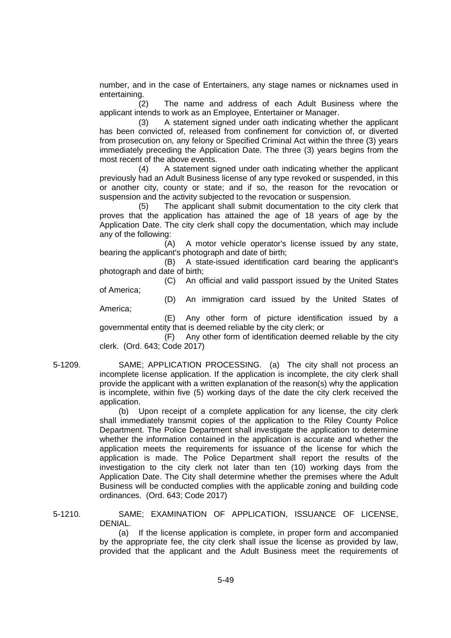number, and in the case of Entertainers, any stage names or nicknames used in entertaining.

(2) The name and address of each Adult Business where the applicant intends to work as an Employee, Entertainer or Manager.

(3) A statement signed under oath indicating whether the applicant has been convicted of, released from confinement for conviction of, or diverted from prosecution on, any felony or Specified Criminal Act within the three (3) years immediately preceding the Application Date. The three (3) years begins from the most recent of the above events.

(4) A statement signed under oath indicating whether the applicant previously had an Adult Business license of any type revoked or suspended, in this or another city, county or state; and if so, the reason for the revocation or suspension and the activity subjected to the revocation or suspension.

(5) The applicant shall submit documentation to the city clerk that proves that the application has attained the age of 18 years of age by the Application Date. The city clerk shall copy the documentation, which may include any of the following:

(A) A motor vehicle operator's license issued by any state, bearing the applicant's photograph and date of birth;

(B) A state-issued identification card bearing the applicant's photograph and date of birth;

(C) An official and valid passport issued by the United States

of America; America;

(D) An immigration card issued by the United States of

(E) Any other form of picture identification issued by a governmental entity that is deemed reliable by the city clerk; or

(F) Any other form of identification deemed reliable by the city clerk. (Ord. 643; Code 2017)

5-1209. SAME; APPLICATION PROCESSING. (a) The city shall not process an incomplete license application. If the application is incomplete, the city clerk shall provide the applicant with a written explanation of the reason(s) why the application is incomplete, within five (5) working days of the date the city clerk received the application.

(b) Upon receipt of a complete application for any license, the city clerk shall immediately transmit copies of the application to the Riley County Police Department. The Police Department shall investigate the application to determine whether the information contained in the application is accurate and whether the application meets the requirements for issuance of the license for which the application is made. The Police Department shall report the results of the investigation to the city clerk not later than ten (10) working days from the Application Date. The City shall determine whether the premises where the Adult Business will be conducted complies with the applicable zoning and building code ordinances. (Ord. 643; Code 2017)

5-1210. SAME; EXAMINATION OF APPLICATION, ISSUANCE OF LICENSE, DENIAL.

> (a) If the license application is complete, in proper form and accompanied by the appropriate fee, the city clerk shall issue the license as provided by law, provided that the applicant and the Adult Business meet the requirements of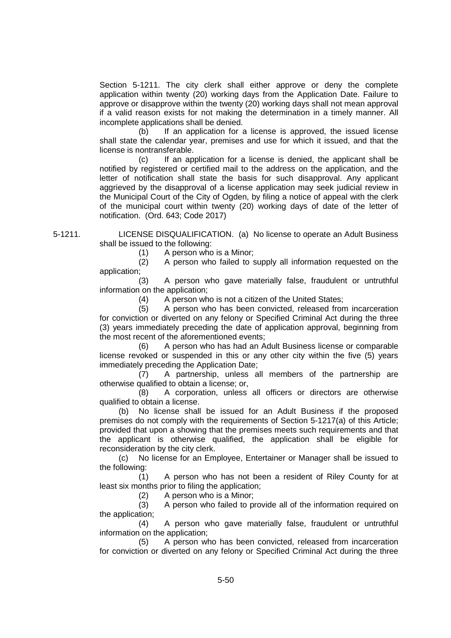Section 5-1211. The city clerk shall either approve or deny the complete application within twenty (20) working days from the Application Date. Failure to approve or disapprove within the twenty (20) working days shall not mean approval if a valid reason exists for not making the determination in a timely manner. All incomplete applications shall be denied.

(b) If an application for a license is approved, the issued license shall state the calendar year, premises and use for which it issued, and that the license is nontransferable.

(c) If an application for a license is denied, the applicant shall be notified by registered or certified mail to the address on the application, and the letter of notification shall state the basis for such disapproval. Any applicant aggrieved by the disapproval of a license application may seek judicial review in the Municipal Court of the City of Ogden, by filing a notice of appeal with the clerk of the municipal court within twenty (20) working days of date of the letter of notification. (Ord. 643; Code 2017)

5-1211. LICENSE DISQUALIFICATION. (a) No license to operate an Adult Business shall be issued to the following:

(1) A person who is a Minor;<br>(2) A person who failed to s (2) A person who failed to supply all information requested on the application;

(3) A person who gave materially false, fraudulent or untruthful information on the application;

(4) A person who is not a citizen of the United States;

(5) A person who has been convicted, released from incarceration for conviction or diverted on any felony or Specified Criminal Act during the three (3) years immediately preceding the date of application approval, beginning from the most recent of the aforementioned events;

(6) A person who has had an Adult Business license or comparable license revoked or suspended in this or any other city within the five (5) years immediately preceding the Application Date;

(7) A partnership, unless all members of the partnership are otherwise qualified to obtain a license; or,

(8) A corporation, unless all officers or directors are otherwise qualified to obtain a license.

(b) No license shall be issued for an Adult Business if the proposed premises do not comply with the requirements of Section 5-1217(a) of this Article; provided that upon a showing that the premises meets such requirements and that the applicant is otherwise qualified, the application shall be eligible for reconsideration by the city clerk.

(c) No license for an Employee, Entertainer or Manager shall be issued to the following:

(1) A person who has not been a resident of Riley County for at least six months prior to filing the application;

(2) A person who is a Minor;

(3) A person who failed to provide all of the information required on the application;

(4) A person who gave materially false, fraudulent or untruthful information on the application;

(5) A person who has been convicted, released from incarceration for conviction or diverted on any felony or Specified Criminal Act during the three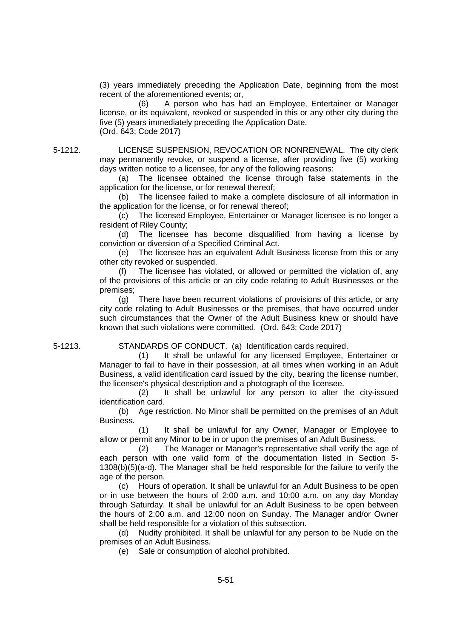(3) years immediately preceding the Application Date, beginning from the most recent of the aforementioned events; or,

(6) A person who has had an Employee, Entertainer or Manager license, or its equivalent, revoked or suspended in this or any other city during the five (5) years immediately preceding the Application Date. (Ord. 643; Code 2017)

5-1212. LICENSE SUSPENSION, REVOCATION OR NONRENEWAL. The city clerk may permanently revoke, or suspend a license, after providing five (5) working days written notice to a licensee, for any of the following reasons:

> (a) The licensee obtained the license through false statements in the application for the license, or for renewal thereof;

> (b) The licensee failed to make a complete disclosure of all information in the application for the license, or for renewal thereof;

> (c) The licensed Employee, Entertainer or Manager licensee is no longer a resident of Riley County;

> (d) The licensee has become disqualified from having a license by conviction or diversion of a Specified Criminal Act.

> (e) The licensee has an equivalent Adult Business license from this or any other city revoked or suspended.

> (f) The licensee has violated, or allowed or permitted the violation of, any of the provisions of this article or an city code relating to Adult Businesses or the premises;

> (g) There have been recurrent violations of provisions of this article, or any city code relating to Adult Businesses or the premises, that have occurred under such circumstances that the Owner of the Adult Business knew or should have known that such violations were committed. (Ord. 643; Code 2017)

5-1213. STANDARDS OF CONDUCT. (a) Identification cards required.

(1) It shall be unlawful for any licensed Employee, Entertainer or Manager to fail to have in their possession, at all times when working in an Adult Business, a valid identification card issued by the city, bearing the license number, the licensee's physical description and a photograph of the licensee.

(2) It shall be unlawful for any person to alter the city-issued identification card.

(b) Age restriction. No Minor shall be permitted on the premises of an Adult Business.

(1) It shall be unlawful for any Owner, Manager or Employee to allow or permit any Minor to be in or upon the premises of an Adult Business.

(2) The Manager or Manager's representative shall verify the age of each person with one valid form of the documentation listed in Section 5- 1308(b)(5)(a-d). The Manager shall be held responsible for the failure to verify the age of the person.

(c) Hours of operation. It shall be unlawful for an Adult Business to be open or in use between the hours of 2:00 a.m. and 10:00 a.m. on any day Monday through Saturday. It shall be unlawful for an Adult Business to be open between the hours of 2:00 a.m. and 12:00 noon on Sunday. The Manager and/or Owner shall be held responsible for a violation of this subsection.

(d) Nudity prohibited. It shall be unlawful for any person to be Nude on the premises of an Adult Business.

(e) Sale or consumption of alcohol prohibited.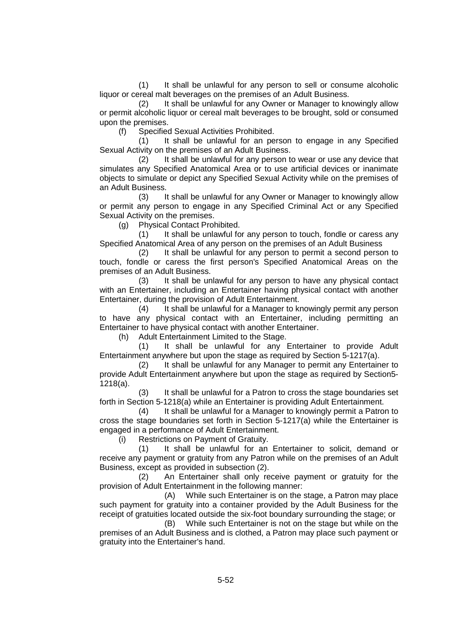(1) It shall be unlawful for any person to sell or consume alcoholic liquor or cereal malt beverages on the premises of an Adult Business.

(2) It shall be unlawful for any Owner or Manager to knowingly allow or permit alcoholic liquor or cereal malt beverages to be brought, sold or consumed upon the premises.

(f) Specified Sexual Activities Prohibited.

(1) It shall be unlawful for an person to engage in any Specified Sexual Activity on the premises of an Adult Business.

(2) It shall be unlawful for any person to wear or use any device that simulates any Specified Anatomical Area or to use artificial devices or inanimate objects to simulate or depict any Specified Sexual Activity while on the premises of an Adult Business.

(3) It shall be unlawful for any Owner or Manager to knowingly allow or permit any person to engage in any Specified Criminal Act or any Specified Sexual Activity on the premises.

(g) Physical Contact Prohibited.

(1) It shall be unlawful for any person to touch, fondle or caress any Specified Anatomical Area of any person on the premises of an Adult Business

(2) It shall be unlawful for any person to permit a second person to touch, fondle or caress the first person's Specified Anatomical Areas on the premises of an Adult Business.

(3) It shall be unlawful for any person to have any physical contact with an Entertainer, including an Entertainer having physical contact with another Entertainer, during the provision of Adult Entertainment.

(4) It shall be unlawful for a Manager to knowingly permit any person to have any physical contact with an Entertainer, including permitting an Entertainer to have physical contact with another Entertainer.

(h) Adult Entertainment Limited to the Stage.

(1) It shall be unlawful for any Entertainer to provide Adult Entertainment anywhere but upon the stage as required by Section 5-1217(a).

(2) It shall be unlawful for any Manager to permit any Entertainer to provide Adult Entertainment anywhere but upon the stage as required by Section5- 1218(a).

(3) It shall be unlawful for a Patron to cross the stage boundaries set forth in Section 5-1218(a) while an Entertainer is providing Adult Entertainment.

(4) It shall be unlawful for a Manager to knowingly permit a Patron to cross the stage boundaries set forth in Section 5-1217(a) while the Entertainer is engaged in a performance of Adult Entertainment.

(i) Restrictions on Payment of Gratuity.

(1) It shall be unlawful for an Entertainer to solicit, demand or receive any payment or gratuity from any Patron while on the premises of an Adult Business, except as provided in subsection (2).

(2) An Entertainer shall only receive payment or gratuity for the provision of Adult Entertainment in the following manner:

(A) While such Entertainer is on the stage, a Patron may place such payment for gratuity into a container provided by the Adult Business for the receipt of gratuities located outside the six-foot boundary surrounding the stage; or

(B) While such Entertainer is not on the stage but while on the premises of an Adult Business and is clothed, a Patron may place such payment or gratuity into the Entertainer's hand.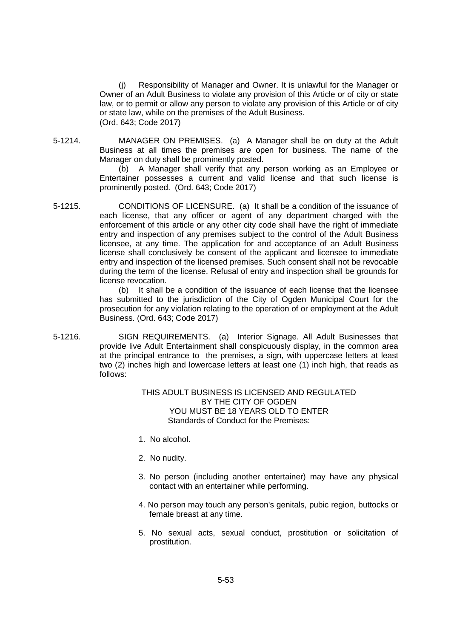(j) Responsibility of Manager and Owner. It is unlawful for the Manager or Owner of an Adult Business to violate any provision of this Article or of city or state law, or to permit or allow any person to violate any provision of this Article or of city or state law, while on the premises of the Adult Business. (Ord. 643; Code 2017)

5-1214. MANAGER ON PREMISES. (a) A Manager shall be on duty at the Adult Business at all times the premises are open for business. The name of the Manager on duty shall be prominently posted.

> (b) A Manager shall verify that any person working as an Employee or Entertainer possesses a current and valid license and that such license is prominently posted. (Ord. 643; Code 2017)

5-1215. CONDITIONS OF LICENSURE. (a) It shall be a condition of the issuance of each license, that any officer or agent of any department charged with the enforcement of this article or any other city code shall have the right of immediate entry and inspection of any premises subject to the control of the Adult Business licensee, at any time. The application for and acceptance of an Adult Business license shall conclusively be consent of the applicant and licensee to immediate entry and inspection of the licensed premises. Such consent shall not be revocable during the term of the license. Refusal of entry and inspection shall be grounds for license revocation.

(b) It shall be a condition of the issuance of each license that the licensee has submitted to the jurisdiction of the City of Ogden Municipal Court for the prosecution for any violation relating to the operation of or employment at the Adult Business. (Ord. 643; Code 2017)

5-1216. SIGN REQUIREMENTS. (a) Interior Signage. All Adult Businesses that provide live Adult Entertainment shall conspicuously display, in the common area at the principal entrance to the premises, a sign, with uppercase letters at least two (2) inches high and lowercase letters at least one (1) inch high, that reads as follows:

## THIS ADULT BUSINESS IS LICENSED AND REGULATED BY THE CITY OF OGDEN YOU MUST BE 18 YEARS OLD TO ENTER Standards of Conduct for the Premises:

- 1. No alcohol.
- 2. No nudity.
- 3. No person (including another entertainer) may have any physical contact with an entertainer while performing.
- 4. No person may touch any person's genitals, pubic region, buttocks or female breast at any time.
- 5. No sexual acts, sexual conduct, prostitution or solicitation of prostitution.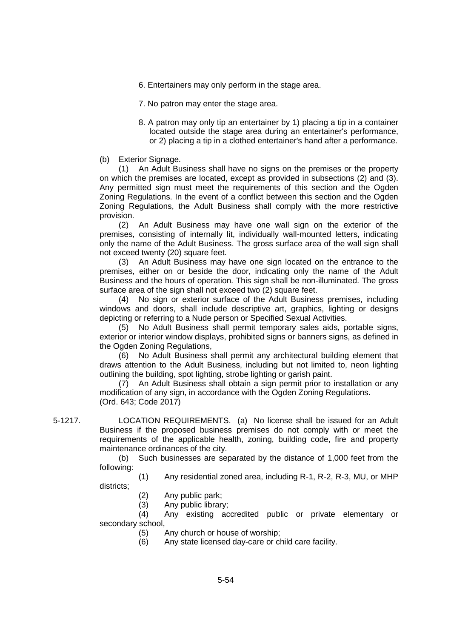- 6. Entertainers may only perform in the stage area.
- 7. No patron may enter the stage area.
- 8. A patron may only tip an entertainer by 1) placing a tip in a container located outside the stage area during an entertainer's performance, or 2) placing a tip in a clothed entertainer's hand after a performance.

(b) Exterior Signage.

(1) An Adult Business shall have no signs on the premises or the property on which the premises are located, except as provided in subsections (2) and (3). Any permitted sign must meet the requirements of this section and the Ogden Zoning Regulations. In the event of a conflict between this section and the Ogden Zoning Regulations, the Adult Business shall comply with the more restrictive provision.

(2) An Adult Business may have one wall sign on the exterior of the premises, consisting of internally lit, individually wall-mounted letters, indicating only the name of the Adult Business. The gross surface area of the wall sign shall not exceed twenty (20) square feet.

(3) An Adult Business may have one sign located on the entrance to the premises, either on or beside the door, indicating only the name of the Adult Business and the hours of operation. This sign shall be non-illuminated. The gross surface area of the sign shall not exceed two (2) square feet.

(4) No sign or exterior surface of the Adult Business premises, including windows and doors, shall include descriptive art, graphics, lighting or designs depicting or referring to a Nude person or Specified Sexual Activities.

(5) No Adult Business shall permit temporary sales aids, portable signs, exterior or interior window displays, prohibited signs or banners signs, as defined in the Ogden Zoning Regulations,

(6) No Adult Business shall permit any architectural building element that draws attention to the Adult Business, including but not limited to, neon lighting outlining the building, spot lighting, strobe lighting or garish paint.

(7) An Adult Business shall obtain a sign permit prior to installation or any modification of any sign, in accordance with the Ogden Zoning Regulations. (Ord. 643; Code 2017)

5-1217. LOCATION REQUIREMENTS. (a) No license shall be issued for an Adult Business if the proposed business premises do not comply with or meet the requirements of the applicable health, zoning, building code, fire and property maintenance ordinances of the city.

> (b) Such businesses are separated by the distance of 1,000 feet from the following:

> (1) Any residential zoned area, including R-1, R-2, R-3, MU, or MHP districts;

- (2) Any public park;
- (3) Any public library;

(4) Any existing accredited public or private elementary or secondary school,

- (5) Any church or house of worship;
- (6) Any state licensed day-care or child care facility.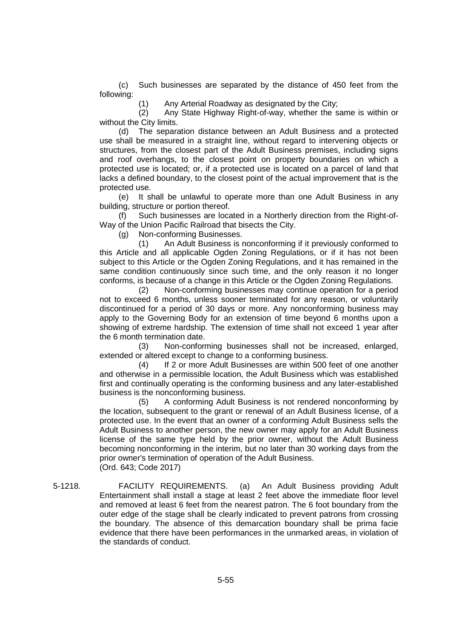(c) Such businesses are separated by the distance of 450 feet from the following:

(1) Any Arterial Roadway as designated by the City;

(2) Any State Highway Right-of-way, whether the same is within or without the City limits.

(d) The separation distance between an Adult Business and a protected use shall be measured in a straight line, without regard to intervening objects or structures, from the closest part of the Adult Business premises, including signs and roof overhangs, to the closest point on property boundaries on which a protected use is located; or, if a protected use is located on a parcel of land that lacks a defined boundary, to the closest point of the actual improvement that is the protected use.

(e) It shall be unlawful to operate more than one Adult Business in any building, structure or portion thereof.

(f) Such businesses are located in a Northerly direction from the Right-of-Way of the Union Pacific Railroad that bisects the City.

(g) Non-conforming Businesses.

(1) An Adult Business is nonconforming if it previously conformed to this Article and all applicable Ogden Zoning Regulations, or if it has not been subject to this Article or the Ogden Zoning Regulations, and it has remained in the same condition continuously since such time, and the only reason it no longer conforms, is because of a change in this Article or the Ogden Zoning Regulations.

(2) Non-conforming businesses may continue operation for a period not to exceed 6 months, unless sooner terminated for any reason, or voluntarily discontinued for a period of 30 days or more. Any nonconforming business may apply to the Governing Body for an extension of time beyond 6 months upon a showing of extreme hardship. The extension of time shall not exceed 1 year after the 6 month termination date.

(3) Non-conforming businesses shall not be increased, enlarged, extended or altered except to change to a conforming business.

(4) If 2 or more Adult Businesses are within 500 feet of one another and otherwise in a permissible location, the Adult Business which was established first and continually operating is the conforming business and any later-established business is the nonconforming business.

(5) A conforming Adult Business is not rendered nonconforming by the location, subsequent to the grant or renewal of an Adult Business license, of a protected use. In the event that an owner of a conforming Adult Business sells the Adult Business to another person, the new owner may apply for an Adult Business license of the same type held by the prior owner, without the Adult Business becoming nonconforming in the interim, but no later than 30 working days from the prior owner's termination of operation of the Adult Business. (Ord. 643; Code 2017)

5-1218. FACILITY REQUIREMENTS. (a) An Adult Business providing Adult Entertainment shall install a stage at least 2 feet above the immediate floor level and removed at least 6 feet from the nearest patron. The 6 foot boundary from the outer edge of the stage shall be clearly indicated to prevent patrons from crossing the boundary. The absence of this demarcation boundary shall be prima facie evidence that there have been performances in the unmarked areas, in violation of the standards of conduct.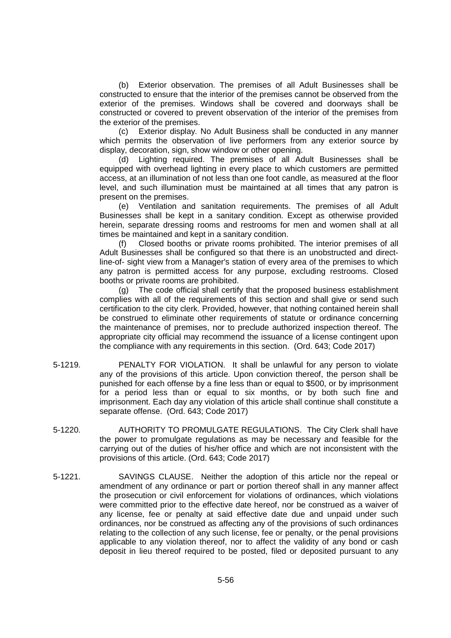(b) Exterior observation. The premises of all Adult Businesses shall be constructed to ensure that the interior of the premises cannot be observed from the exterior of the premises. Windows shall be covered and doorways shall be constructed or covered to prevent observation of the interior of the premises from the exterior of the premises.

(c) Exterior display. No Adult Business shall be conducted in any manner which permits the observation of live performers from any exterior source by display, decoration, sign, show window or other opening.

(d) Lighting required. The premises of all Adult Businesses shall be equipped with overhead lighting in every place to which customers are permitted access, at an illumination of not less than one foot candle, as measured at the floor level, and such illumination must be maintained at all times that any patron is present on the premises.

(e) Ventilation and sanitation requirements. The premises of all Adult Businesses shall be kept in a sanitary condition. Except as otherwise provided herein, separate dressing rooms and restrooms for men and women shall at all times be maintained and kept in a sanitary condition.

(f) Closed booths or private rooms prohibited. The interior premises of all Adult Businesses shall be configured so that there is an unobstructed and directline-of- sight view from a Manager's station of every area of the premises to which any patron is permitted access for any purpose, excluding restrooms. Closed booths or private rooms are prohibited.

(g) The code official shall certify that the proposed business establishment complies with all of the requirements of this section and shall give or send such certification to the city clerk. Provided, however, that nothing contained herein shall be construed to eliminate other requirements of statute or ordinance concerning the maintenance of premises, nor to preclude authorized inspection thereof. The appropriate city official may recommend the issuance of a license contingent upon the compliance with any requirements in this section. (Ord. 643; Code 2017)

- 5-1219. PENALTY FOR VIOLATION. It shall be unlawful for any person to violate any of the provisions of this article. Upon conviction thereof, the person shall be punished for each offense by a fine less than or equal to \$500, or by imprisonment for a period less than or equal to six months, or by both such fine and imprisonment. Each day any violation of this article shall continue shall constitute a separate offense. (Ord. 643; Code 2017)
- 5-1220. AUTHORITY TO PROMULGATE REGULATIONS. The City Clerk shall have the power to promulgate regulations as may be necessary and feasible for the carrying out of the duties of his/her office and which are not inconsistent with the provisions of this article. (Ord. 643; Code 2017)
- 5-1221. SAVINGS CLAUSE. Neither the adoption of this article nor the repeal or amendment of any ordinance or part or portion thereof shall in any manner affect the prosecution or civil enforcement for violations of ordinances, which violations were committed prior to the effective date hereof, nor be construed as a waiver of any license, fee or penalty at said effective date due and unpaid under such ordinances, nor be construed as affecting any of the provisions of such ordinances relating to the collection of any such license, fee or penalty, or the penal provisions applicable to any violation thereof, nor to affect the validity of any bond or cash deposit in lieu thereof required to be posted, filed or deposited pursuant to any